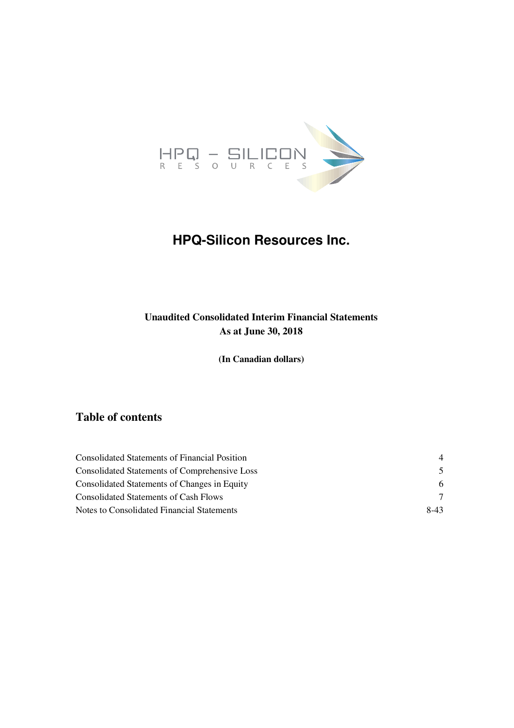

## **Unaudited Consolidated Interim Financial Statements As at June 30, 2018**

**(In Canadian dollars)** 

# **Table of contents**

| Consolidated Statements of Financial Position        | $\overline{4}$ |
|------------------------------------------------------|----------------|
| <b>Consolidated Statements of Comprehensive Loss</b> | 5.             |
| Consolidated Statements of Changes in Equity         | 6              |
| <b>Consolidated Statements of Cash Flows</b>         | 7              |
| Notes to Consolidated Financial Statements           | $8-43$         |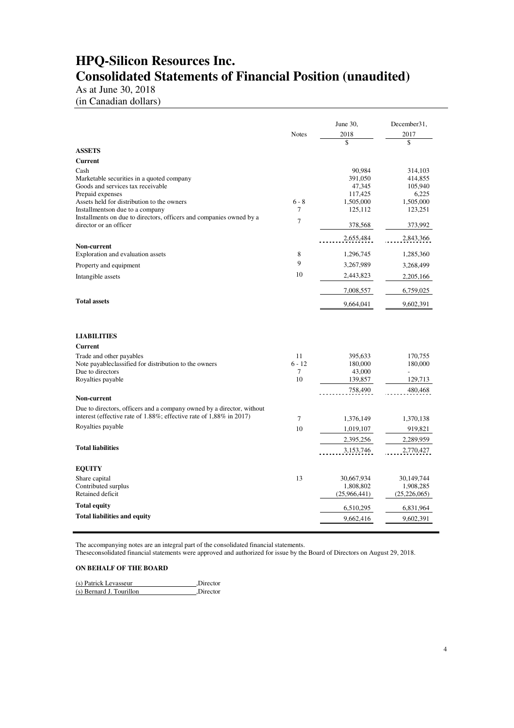# **HPQ-Silicon Resources Inc. Consolidated Statements of Financial Position (unaudited)**

As at June 30, 2018 (in Canadian dollars)

|                                                                                                                                                                                                                                                                     | <b>Notes</b>                           | June 30,<br>2018<br>\$                                         | December31,<br>2017                                            |
|---------------------------------------------------------------------------------------------------------------------------------------------------------------------------------------------------------------------------------------------------------------------|----------------------------------------|----------------------------------------------------------------|----------------------------------------------------------------|
| <b>ASSETS</b>                                                                                                                                                                                                                                                       |                                        |                                                                |                                                                |
| <b>Current</b>                                                                                                                                                                                                                                                      |                                        |                                                                |                                                                |
| Cash<br>Marketable securities in a quoted company<br>Goods and services tax receivable<br>Prepaid expenses<br>Assets held for distribution to the owners<br>Installments on due to a company<br>Installments on due to directors, officers and companies owned by a | $6 - 8$<br>$\overline{7}$<br>7         | 90,984<br>391,050<br>47,345<br>117,425<br>1,505,000<br>125,112 | 314,103<br>414,855<br>105,940<br>6,225<br>1,505,000<br>123,251 |
| director or an officer                                                                                                                                                                                                                                              |                                        | 378,568                                                        | 373,992                                                        |
| Non-current<br>Exploration and evaluation assets<br>Property and equipment<br>Intangible assets                                                                                                                                                                     | 8<br>9<br>10                           | 2,655,484<br>1,296,745<br>3,267,989<br>2,443,823<br>7,008,557  | 2,843,366<br>1,285,360<br>3,268,499<br>2,205,166<br>6,759,025  |
| <b>Total assets</b>                                                                                                                                                                                                                                                 |                                        | 9,664,041                                                      | 9,602,391                                                      |
| <b>LIABILITIES</b><br><b>Current</b><br>Trade and other payables<br>Note payableclassified for distribution to the owners<br>Due to directors<br>Royalties payable                                                                                                  | 11<br>$6 - 12$<br>$\overline{7}$<br>10 | 395,633<br>180,000<br>43,000<br>139,857                        | 170,755<br>180,000<br>129,713                                  |
| Non-current                                                                                                                                                                                                                                                         |                                        | 758,490                                                        | 480,468                                                        |
| Due to directors, officers and a company owned by a director, without<br>interest (effective rate of 1.88%; effective rate of 1,88% in 2017)<br>Royalties payable<br><b>Total liabilities</b>                                                                       | $\overline{7}$<br>10                   | 1,376,149<br>1,019,107<br>2,395,256<br>3,153,746               | 1,370,138<br>919,821<br>2,289,959<br>2,770,427                 |
| <b>EQUITY</b>                                                                                                                                                                                                                                                       |                                        |                                                                |                                                                |
| Share capital<br>Contributed surplus<br>Retained deficit                                                                                                                                                                                                            | 13                                     | 30,667,934<br>1,808,802<br>(25,966,441)                        | 30,149,744<br>1,908,285<br>(25, 226, 065)                      |
| <b>Total equity</b>                                                                                                                                                                                                                                                 |                                        | 6,510,295                                                      | 6,831,964                                                      |
| <b>Total liabilities and equity</b>                                                                                                                                                                                                                                 |                                        | 9,662,416                                                      | 9,602,391                                                      |

The accompanying notes are an integral part of the consolidated financial statements.

Theseconsolidated financial statements were approved and authorized for issue by the Board of Directors on August 29, 2018.

#### **ON BEHALF OF THE BOARD**

| (s) Patrick Levasseur    | Director |
|--------------------------|----------|
| (s) Bernard J. Tourillon | Director |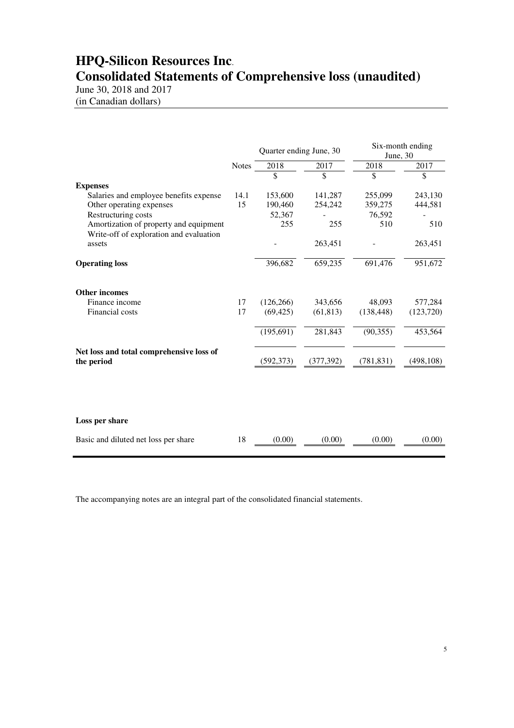# **HPQ-Silicon Resources Inc**. **Consolidated Statements of Comprehensive loss (unaudited)**

June 30, 2018 and 2017 (in Canadian dollars)

|                                                                                   |              | Quarter ending June, 30 |            | June, $30$ | Six-month ending |
|-----------------------------------------------------------------------------------|--------------|-------------------------|------------|------------|------------------|
|                                                                                   | <b>Notes</b> | 2018                    | 2017       | 2018       | 2017             |
|                                                                                   |              | \$                      | \$         | \$         | \$               |
| <b>Expenses</b>                                                                   |              |                         |            |            |                  |
| Salaries and employee benefits expense                                            | 14.1         | 153,600                 | 141,287    | 255,099    | 243,130          |
| Other operating expenses                                                          | 15           | 190,460                 | 254,242    | 359,275    | 444,581          |
| Restructuring costs                                                               |              | 52,367                  |            | 76,592     |                  |
| Amortization of property and equipment<br>Write-off of exploration and evaluation |              | 255                     | 255        | 510        | 510              |
| assets                                                                            |              |                         | 263,451    |            | 263,451          |
| <b>Operating loss</b>                                                             |              | 396,682                 | 659,235    | 691,476    | 951,672          |
| <b>Other incomes</b>                                                              |              |                         |            |            |                  |
| Finance income                                                                    | 17           | (126, 266)              | 343,656    | 48,093     | 577,284          |
| Financial costs                                                                   | 17           | (69, 425)               | (61, 813)  | (138, 448) | (123, 720)       |
|                                                                                   |              | (195, 691)              | 281,843    | (90, 355)  | 453,564          |
| Net loss and total comprehensive loss of<br>the period                            |              | (592, 373)              | (377, 392) | (781, 831) | (498, 108)       |
|                                                                                   |              |                         |            |            |                  |
| Loss per share                                                                    |              |                         |            |            |                  |
| Basic and diluted net loss per share                                              | 18           | (0.00)                  | (0.00)     | (0.00)     | (0.00)           |

The accompanying notes are an integral part of the consolidated financial statements.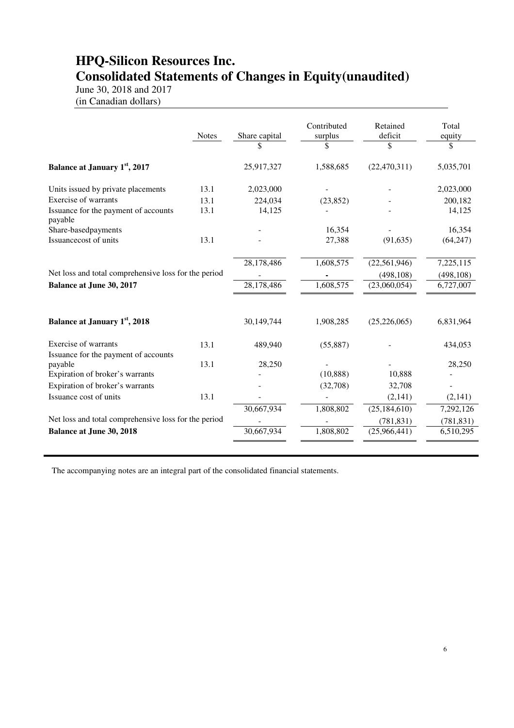# **HPQ-Silicon Resources Inc. Consolidated Statements of Changes in Equity(unaudited)**

June 30, 2018 and 2017 (in Canadian dollars)

|                                                              | <b>Notes</b> | Share capital | Contributed<br>surplus<br>\$ | Retained<br>deficit<br>\$ | Total<br>equity<br>\$ |
|--------------------------------------------------------------|--------------|---------------|------------------------------|---------------------------|-----------------------|
| Balance at January 1 <sup>st</sup> , 2017                    |              | 25,917,327    | 1,588,685                    | (22, 470, 311)            | 5,035,701             |
| Units issued by private placements                           | 13.1         | 2,023,000     |                              |                           | 2,023,000             |
| <b>Exercise of warrants</b>                                  | 13.1         | 224,034       | (23, 852)                    |                           | 200,182               |
| Issuance for the payment of accounts<br>payable              | 13.1         | 14,125        |                              |                           | 14,125                |
| Share-basedpayments                                          |              |               | 16,354                       |                           | 16,354                |
| Issuancecost of units                                        | 13.1         |               | 27,388                       | (91, 635)                 | (64, 247)             |
|                                                              |              | 28,178,486    | 1,608,575                    | (22, 561, 946)            | 7,225,115             |
| Net loss and total comprehensive loss for the period         |              |               |                              | (498, 108)                | (498, 108)            |
| <b>Balance at June 30, 2017</b>                              |              | 28,178,486    | 1,608,575                    | (23,060,054)              | 6,727,007             |
| <b>Balance at January 1st, 2018</b>                          |              | 30,149,744    | 1,908,285                    | (25, 226, 065)            | 6,831,964             |
| Exercise of warrants<br>Issuance for the payment of accounts | 13.1         | 489,940       | (55,887)                     |                           | 434,053               |
| payable                                                      | 13.1         | 28,250        |                              |                           | 28,250                |
| Expiration of broker's warrants                              |              |               | (10, 888)                    | 10,888                    |                       |
| Expiration of broker's warrants                              |              |               | (32,708)                     | 32,708                    |                       |
| Issuance cost of units                                       | 13.1         |               |                              | (2,141)                   | (2,141)               |
|                                                              |              | 30,667,934    | 1,808,802                    | (25, 184, 610)            | 7,292,126             |
| Net loss and total comprehensive loss for the period         |              |               |                              | (781, 831)                | (781, 831)            |
| <b>Balance at June 30, 2018</b>                              |              | 30,667,934    | 1,808,802                    | (25,966,441)              | 6,510,295             |
|                                                              |              |               |                              |                           |                       |

The accompanying notes are an integral part of the consolidated financial statements.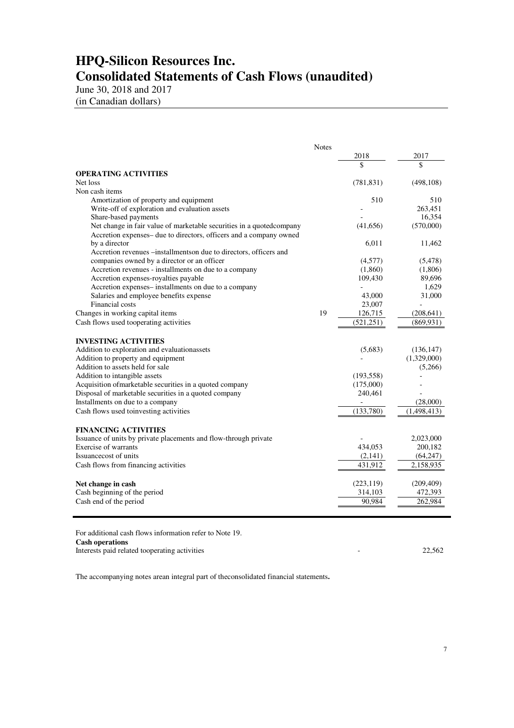# **HPQ-Silicon Resources Inc. Consolidated Statements of Cash Flows (unaudited)**

June 30, 2018 and 2017 (in Canadian dollars)

|                                                                             | <b>Notes</b> |            |             |
|-----------------------------------------------------------------------------|--------------|------------|-------------|
|                                                                             |              | 2018       | 2017        |
|                                                                             |              | \$         | \$          |
| <b>OPERATING ACTIVITIES</b>                                                 |              |            |             |
| Net loss                                                                    |              | (781, 831) | (498, 108)  |
| Non cash items                                                              |              |            |             |
| Amortization of property and equipment                                      |              | 510        | 510         |
| Write-off of exploration and evaluation assets                              |              |            | 263,451     |
| Share-based payments                                                        |              |            | 16,354      |
| Net change in fair value of marketable securities in a quotedcompany        |              | (41,656)   | (570,000)   |
| Accretion expenses- due to directors, officers and a company owned          |              |            |             |
| by a director                                                               |              | 6,011      | 11,462      |
| Accretion revenues -installmentson due to directors, officers and           |              |            |             |
| companies owned by a director or an officer                                 |              | (4,577)    | (5, 478)    |
| Accretion revenues - installments on due to a company                       |              | (1,860)    | (1,806)     |
| Accretion expenses-royalties payable                                        |              | 109,430    | 89,696      |
| Accretion expenses-installments on due to a company                         |              |            | 1,629       |
| Salaries and employee benefits expense                                      |              | 43,000     | 31,000      |
| Financial costs                                                             |              | 23,007     |             |
| Changes in working capital items                                            | 19           | 126,715    | (208, 641)  |
| Cash flows used tooperating activities                                      |              | (521, 251) | (869, 931)  |
| <b>INVESTING ACTIVITIES</b><br>Addition to exploration and evaluationassets |              | (5,683)    | (136, 147)  |
| Addition to property and equipment                                          |              |            | (1,329,000) |
| Addition to assets held for sale                                            |              |            | (5,266)     |
| Addition to intangible assets                                               |              | (193, 558) |             |
| Acquisition of marketable securities in a quoted company                    |              | (175,000)  |             |
| Disposal of marketable securities in a quoted company                       |              | 240,461    |             |
| Installments on due to a company                                            |              |            | (28,000)    |
| Cash flows used to<br>investing activities                                  |              | (133,780)  | (1,498,413) |
|                                                                             |              |            |             |
| <b>FINANCING ACTIVITIES</b>                                                 |              |            |             |
| Issuance of units by private placements and flow-through private            |              |            | 2,023,000   |
| Exercise of warrants                                                        |              | 434,053    | 200,182     |
| Issuance cost of units                                                      |              | (2,141)    | (64, 247)   |
| Cash flows from financing activities                                        |              | 431,912    | 2,158,935   |
|                                                                             |              |            |             |
| Net change in cash                                                          |              | (223, 119) | (209, 409)  |
| Cash beginning of the period                                                |              | 314,103    | 472,393     |
| Cash end of the period                                                      |              | 90.984     | 262.984     |
|                                                                             |              |            |             |
|                                                                             |              |            |             |

For additional cash flows information refer to Note 19. **Cash operations**  Interests paid related tooperating activities and the state of the state of the state of the 22,562 and the state of the state of the state of the state of the state of the state of the state of the state of the state of t

The accompanying notes arean integral part of theconsolidated financial statements**.**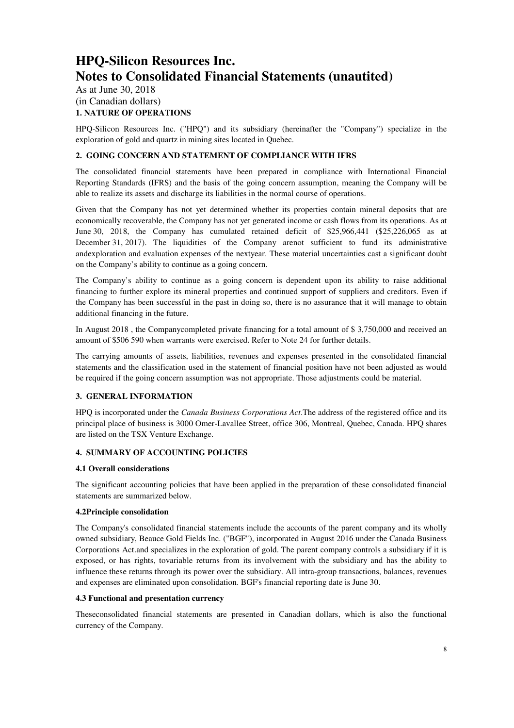As at June 30, 2018 (in Canadian dollars)

### **1. NATURE OF OPERATIONS**

HPQ-Silicon Resources Inc. ("HPQ") and its subsidiary (hereinafter the "Company") specialize in the exploration of gold and quartz in mining sites located in Quebec.

### **2. GOING CONCERN AND STATEMENT OF COMPLIANCE WITH IFRS**

The consolidated financial statements have been prepared in compliance with International Financial Reporting Standards (IFRS) and the basis of the going concern assumption, meaning the Company will be able to realize its assets and discharge its liabilities in the normal course of operations.

Given that the Company has not yet determined whether its properties contain mineral deposits that are economically recoverable, the Company has not yet generated income or cash flows from its operations. As at June 30, 2018, the Company has cumulated retained deficit of \$25,966,441 (\$25,226,065 as at December 31, 2017). The liquidities of the Company arenot sufficient to fund its administrative andexploration and evaluation expenses of the nextyear. These material uncertainties cast a significant doubt on the Company's ability to continue as a going concern.

The Company's ability to continue as a going concern is dependent upon its ability to raise additional financing to further explore its mineral properties and continued support of suppliers and creditors. Even if the Company has been successful in the past in doing so, there is no assurance that it will manage to obtain additional financing in the future.

In August 2018 , the Companycompleted private financing for a total amount of \$ 3,750,000 and received an amount of \$506 590 when warrants were exercised. Refer to Note 24 for further details.

The carrying amounts of assets, liabilities, revenues and expenses presented in the consolidated financial statements and the classification used in the statement of financial position have not been adjusted as would be required if the going concern assumption was not appropriate. Those adjustments could be material.

### **3. GENERAL INFORMATION**

HPQ is incorporated under the *Canada Business Corporations Act*.The address of the registered office and its principal place of business is 3000 Omer-Lavallee Street, office 306, Montreal, Quebec, Canada. HPQ shares are listed on the TSX Venture Exchange.

### **4. SUMMARY OF ACCOUNTING POLICIES**

### **4.1 Overall considerations**

The significant accounting policies that have been applied in the preparation of these consolidated financial statements are summarized below.

### **4.2Principle consolidation**

The Company's consolidated financial statements include the accounts of the parent company and its wholly owned subsidiary, Beauce Gold Fields Inc. ("BGF"), incorporated in August 2016 under the Canada Business Corporations Act.and specializes in the exploration of gold. The parent company controls a subsidiary if it is exposed, or has rights, tovariable returns from its involvement with the subsidiary and has the ability to influence these returns through its power over the subsidiary. All intra-group transactions, balances, revenues and expenses are eliminated upon consolidation. BGF's financial reporting date is June 30.

### **4.3 Functional and presentation currency**

Theseconsolidated financial statements are presented in Canadian dollars, which is also the functional currency of the Company.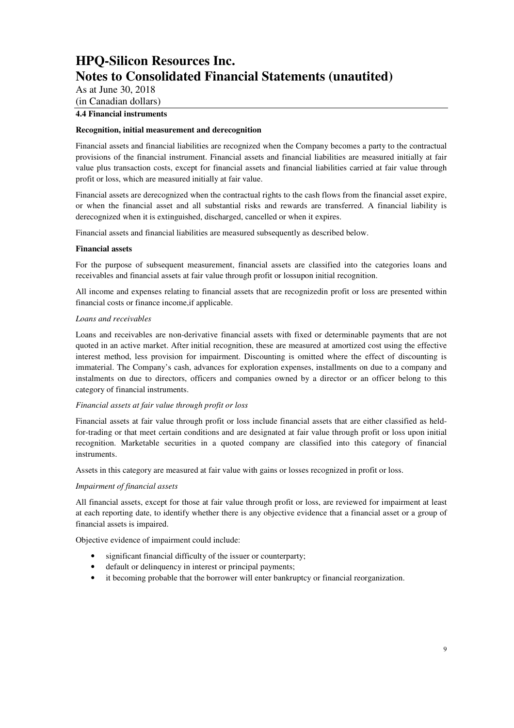As at June 30, 2018 (in Canadian dollars)

### **4.4 Financial instruments**

#### **Recognition, initial measurement and derecognition**

Financial assets and financial liabilities are recognized when the Company becomes a party to the contractual provisions of the financial instrument. Financial assets and financial liabilities are measured initially at fair value plus transaction costs, except for financial assets and financial liabilities carried at fair value through profit or loss, which are measured initially at fair value.

Financial assets are derecognized when the contractual rights to the cash flows from the financial asset expire, or when the financial asset and all substantial risks and rewards are transferred. A financial liability is derecognized when it is extinguished, discharged, cancelled or when it expires.

Financial assets and financial liabilities are measured subsequently as described below.

#### **Financial assets**

For the purpose of subsequent measurement, financial assets are classified into the categories loans and receivables and financial assets at fair value through profit or lossupon initial recognition.

All income and expenses relating to financial assets that are recognizedin profit or loss are presented within financial costs or finance income,if applicable.

#### *Loans and receivables*

Loans and receivables are non-derivative financial assets with fixed or determinable payments that are not quoted in an active market. After initial recognition, these are measured at amortized cost using the effective interest method, less provision for impairment. Discounting is omitted where the effect of discounting is immaterial. The Company's cash, advances for exploration expenses, installments on due to a company and instalments on due to directors, officers and companies owned by a director or an officer belong to this category of financial instruments.

### *Financial assets at fair value through profit or loss*

Financial assets at fair value through profit or loss include financial assets that are either classified as heldfor-trading or that meet certain conditions and are designated at fair value through profit or loss upon initial recognition. Marketable securities in a quoted company are classified into this category of financial instruments.

Assets in this category are measured at fair value with gains or losses recognized in profit or loss.

### *Impairment of financial assets*

All financial assets, except for those at fair value through profit or loss, are reviewed for impairment at least at each reporting date, to identify whether there is any objective evidence that a financial asset or a group of financial assets is impaired.

Objective evidence of impairment could include:

- significant financial difficulty of the issuer or counterparty;
- default or delinquency in interest or principal payments;
- it becoming probable that the borrower will enter bankruptcy or financial reorganization.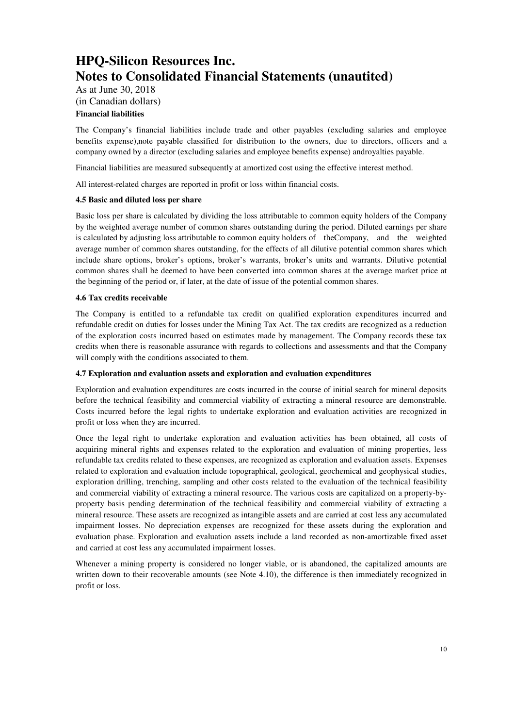As at June 30, 2018 (in Canadian dollars)

### **Financial liabilities**

The Company's financial liabilities include trade and other payables (excluding salaries and employee benefits expense),note payable classified for distribution to the owners, due to directors, officers and a company owned by a director (excluding salaries and employee benefits expense) androyalties payable.

Financial liabilities are measured subsequently at amortized cost using the effective interest method.

All interest-related charges are reported in profit or loss within financial costs.

#### **4.5 Basic and diluted loss per share**

Basic loss per share is calculated by dividing the loss attributable to common equity holders of the Company by the weighted average number of common shares outstanding during the period. Diluted earnings per share is calculated by adjusting loss attributable to common equity holders of theCompany, and the weighted average number of common shares outstanding, for the effects of all dilutive potential common shares which include share options, broker's options, broker's warrants, broker's units and warrants. Dilutive potential common shares shall be deemed to have been converted into common shares at the average market price at the beginning of the period or, if later, at the date of issue of the potential common shares.

#### **4.6 Tax credits receivable**

The Company is entitled to a refundable tax credit on qualified exploration expenditures incurred and refundable credit on duties for losses under the Mining Tax Act. The tax credits are recognized as a reduction of the exploration costs incurred based on estimates made by management. The Company records these tax credits when there is reasonable assurance with regards to collections and assessments and that the Company will comply with the conditions associated to them.

#### **4.7 Exploration and evaluation assets and exploration and evaluation expenditures**

Exploration and evaluation expenditures are costs incurred in the course of initial search for mineral deposits before the technical feasibility and commercial viability of extracting a mineral resource are demonstrable. Costs incurred before the legal rights to undertake exploration and evaluation activities are recognized in profit or loss when they are incurred.

Once the legal right to undertake exploration and evaluation activities has been obtained, all costs of acquiring mineral rights and expenses related to the exploration and evaluation of mining properties, less refundable tax credits related to these expenses, are recognized as exploration and evaluation assets. Expenses related to exploration and evaluation include topographical, geological, geochemical and geophysical studies, exploration drilling, trenching, sampling and other costs related to the evaluation of the technical feasibility and commercial viability of extracting a mineral resource. The various costs are capitalized on a property-byproperty basis pending determination of the technical feasibility and commercial viability of extracting a mineral resource. These assets are recognized as intangible assets and are carried at cost less any accumulated impairment losses. No depreciation expenses are recognized for these assets during the exploration and evaluation phase. Exploration and evaluation assets include a land recorded as non-amortizable fixed asset and carried at cost less any accumulated impairment losses.

Whenever a mining property is considered no longer viable, or is abandoned, the capitalized amounts are written down to their recoverable amounts (see Note 4.10), the difference is then immediately recognized in profit or loss.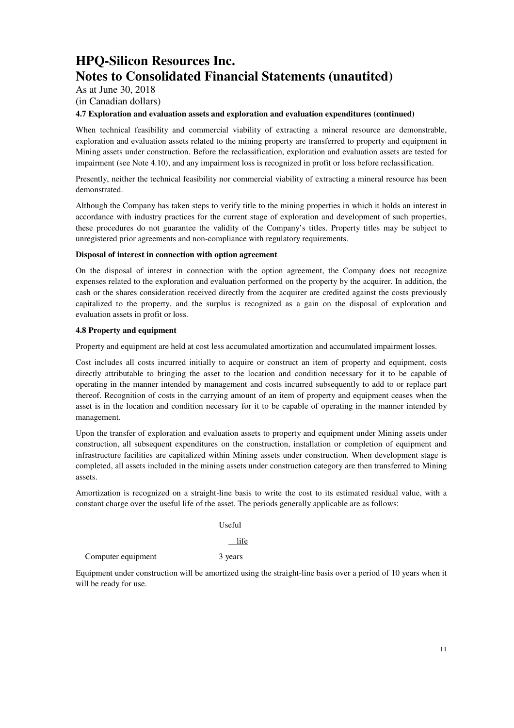As at June 30, 2018 (in Canadian dollars)

#### **4.7 Exploration and evaluation assets and exploration and evaluation expenditures (continued)**

When technical feasibility and commercial viability of extracting a mineral resource are demonstrable, exploration and evaluation assets related to the mining property are transferred to property and equipment in Mining assets under construction. Before the reclassification, exploration and evaluation assets are tested for impairment (see Note 4.10), and any impairment loss is recognized in profit or loss before reclassification.

Presently, neither the technical feasibility nor commercial viability of extracting a mineral resource has been demonstrated.

Although the Company has taken steps to verify title to the mining properties in which it holds an interest in accordance with industry practices for the current stage of exploration and development of such properties, these procedures do not guarantee the validity of the Company's titles. Property titles may be subject to unregistered prior agreements and non-compliance with regulatory requirements.

#### **Disposal of interest in connection with option agreement**

On the disposal of interest in connection with the option agreement, the Company does not recognize expenses related to the exploration and evaluation performed on the property by the acquirer. In addition, the cash or the shares consideration received directly from the acquirer are credited against the costs previously capitalized to the property, and the surplus is recognized as a gain on the disposal of exploration and evaluation assets in profit or loss.

#### **4.8 Property and equipment**

Property and equipment are held at cost less accumulated amortization and accumulated impairment losses.

Cost includes all costs incurred initially to acquire or construct an item of property and equipment, costs directly attributable to bringing the asset to the location and condition necessary for it to be capable of operating in the manner intended by management and costs incurred subsequently to add to or replace part thereof. Recognition of costs in the carrying amount of an item of property and equipment ceases when the asset is in the location and condition necessary for it to be capable of operating in the manner intended by management.

Upon the transfer of exploration and evaluation assets to property and equipment under Mining assets under construction, all subsequent expenditures on the construction, installation or completion of equipment and infrastructure facilities are capitalized within Mining assets under construction. When development stage is completed, all assets included in the mining assets under construction category are then transferred to Mining assets.

Amortization is recognized on a straight-line basis to write the cost to its estimated residual value, with a constant charge over the useful life of the asset. The periods generally applicable are as follows:

#### Useful

life

Computer equipment 3 years

Equipment under construction will be amortized using the straight-line basis over a period of 10 years when it will be ready for use.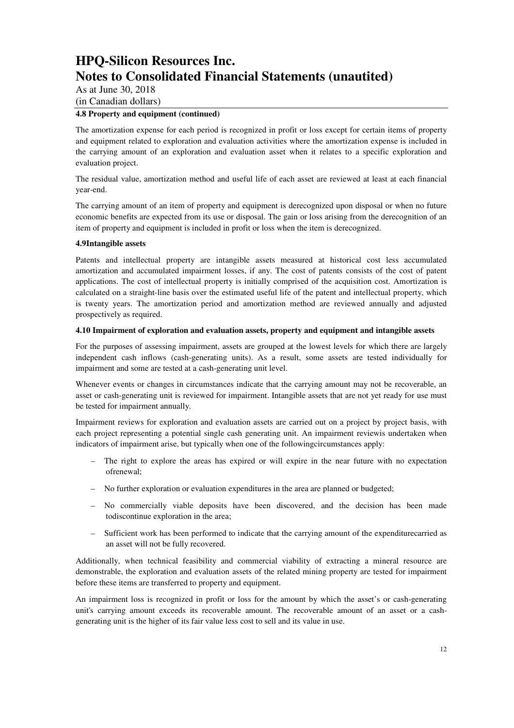As at June 30, 2018 (in Canadian dollars)

### **4.8 Property and equipment (continued)**

The amortization expense for each period is recognized in profit or loss except for certain items of property and equipment related to exploration and evaluation activities where the amortization expense is included in the carrying amount of an exploration and evaluation asset when it relates to a specific exploration and evaluation project.

The residual value, amortization method and useful life of each asset are reviewed at least at each financial year-end.

The carrying amount of an item of property and equipment is derecognized upon disposal or when no future economic benefits are expected from its use or disposal. The gain or loss arising from the derecognition of an item of property and equipment is included in profit or loss when the item is derecognized.

### **4.9Intangible assets**

Patents and intellectual property are intangible assets measured at historical cost less accumulated amortization and accumulated impairment losses, if any. The cost of patents consists of the cost of patent applications. The cost of intellectual property is initially comprised of the acquisition cost. Amortization is calculated on a straight-line basis over the estimated useful life of the patent and intellectual property, which is twenty years. The amortization period and amortization method are reviewed annually and adjusted prospectively as required.

#### **4.10 Impairment of exploration and evaluation assets, property and equipment and intangible assets**

For the purposes of assessing impairment, assets are grouped at the lowest levels for which there are largely independent cash inflows (cash-generating units). As a result, some assets are tested individually for impairment and some are tested at a cash-generating unit level.

Whenever events or changes in circumstances indicate that the carrying amount may not be recoverable, an asset or cash-generating unit is reviewed for impairment. Intangible assets that are not yet ready for use must be tested for impairment annually.

Impairment reviews for exploration and evaluation assets are carried out on a project by project basis, with each project representing a potential single cash generating unit. An impairment reviewis undertaken when indicators of impairment arise, but typically when one of the followingcircumstances apply:

- The right to explore the areas has expired or will expire in the near future with no expectation ofrenewal;
- No further exploration or evaluation expenditures in the area are planned or budgeted;
- No commercially viable deposits have been discovered, and the decision has been made todiscontinue exploration in the area;
- Sufficient work has been performed to indicate that the carrying amount of the expenditurecarried as an asset will not be fully recovered.

Additionally, when technical feasibility and commercial viability of extracting a mineral resource are demonstrable, the exploration and evaluation assets of the related mining property are tested for impairment before these items are transferred to property and equipment.

An impairment loss is recognized in profit or loss for the amount by which the asset's or cash-generating unit's carrying amount exceeds its recoverable amount. The recoverable amount of an asset or a cashgenerating unit is the higher of its fair value less cost to sell and its value in use.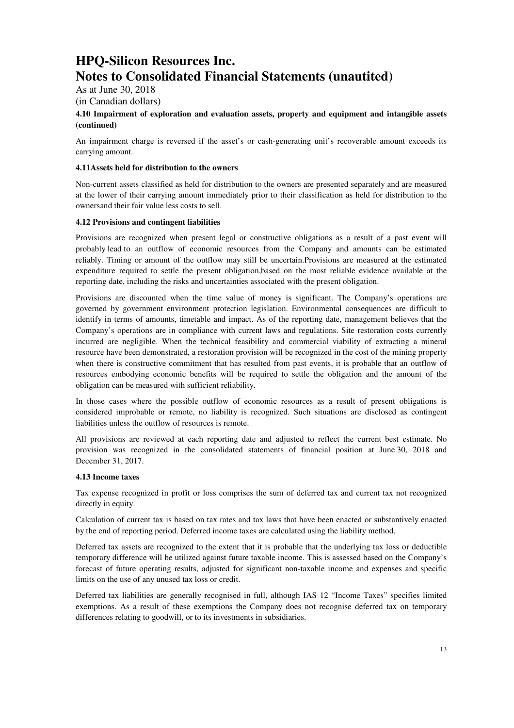As at June 30, 2018 (in Canadian dollars)

### **4.10 Impairment of exploration and evaluation assets, property and equipment and intangible assets (continued)**

An impairment charge is reversed if the asset's or cash-generating unit's recoverable amount exceeds its carrying amount.

### **4.11Assets held for distribution to the owners**

Non-current assets classified as held for distribution to the owners are presented separately and are measured at the lower of their carrying amount immediately prior to their classification as held for distribution to the ownersand their fair value less costs to sell.

#### **4.12 Provisions and contingent liabilities**

Provisions are recognized when present legal or constructive obligations as a result of a past event will probably lead to an outflow of economic resources from the Company and amounts can be estimated reliably. Timing or amount of the outflow may still be uncertain.Provisions are measured at the estimated expenditure required to settle the present obligation,based on the most reliable evidence available at the reporting date, including the risks and uncertainties associated with the present obligation.

Provisions are discounted when the time value of money is significant. The Company's operations are governed by government environment protection legislation. Environmental consequences are difficult to identify in terms of amounts, timetable and impact. As of the reporting date, management believes that the Company's operations are in compliance with current laws and regulations. Site restoration costs currently incurred are negligible. When the technical feasibility and commercial viability of extracting a mineral resource have been demonstrated, a restoration provision will be recognized in the cost of the mining property when there is constructive commitment that has resulted from past events, it is probable that an outflow of resources embodying economic benefits will be required to settle the obligation and the amount of the obligation can be measured with sufficient reliability.

In those cases where the possible outflow of economic resources as a result of present obligations is considered improbable or remote, no liability is recognized. Such situations are disclosed as contingent liabilities unless the outflow of resources is remote.

All provisions are reviewed at each reporting date and adjusted to reflect the current best estimate. No provision was recognized in the consolidated statements of financial position at June 30, 2018 and December 31, 2017.

#### **4.13 Income taxes**

Tax expense recognized in profit or loss comprises the sum of deferred tax and current tax not recognized directly in equity.

Calculation of current tax is based on tax rates and tax laws that have been enacted or substantively enacted by the end of reporting period. Deferred income taxes are calculated using the liability method.

Deferred tax assets are recognized to the extent that it is probable that the underlying tax loss or deductible temporary difference will be utilized against future taxable income. This is assessed based on the Company's forecast of future operating results, adjusted for significant non-taxable income and expenses and specific limits on the use of any unused tax loss or credit.

Deferred tax liabilities are generally recognised in full, although IAS 12 "Income Taxes" specifies limited exemptions. As a result of these exemptions the Company does not recognise deferred tax on temporary differences relating to goodwill, or to its investments in subsidiaries.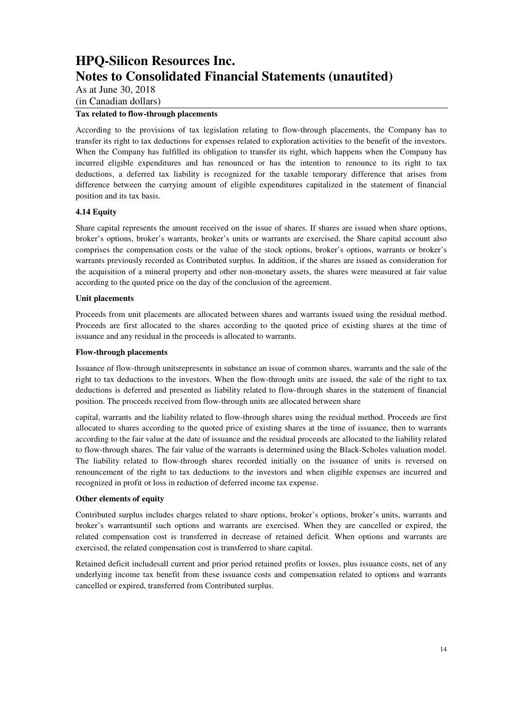As at June 30, 2018 (in Canadian dollars)

### **Tax related to flow-through placements**

According to the provisions of tax legislation relating to flow-through placements, the Company has to transfer its right to tax deductions for expenses related to exploration activities to the benefit of the investors. When the Company has fulfilled its obligation to transfer its right, which happens when the Company has incurred eligible expenditures and has renounced or has the intention to renounce to its right to tax deductions, a deferred tax liability is recognized for the taxable temporary difference that arises from difference between the carrying amount of eligible expenditures capitalized in the statement of financial position and its tax basis.

### **4.14 Equity**

Share capital represents the amount received on the issue of shares. If shares are issued when share options, broker's options, broker's warrants, broker's units or warrants are exercised, the Share capital account also comprises the compensation costs or the value of the stock options, broker's options, warrants or broker's warrants previously recorded as Contributed surplus. In addition, if the shares are issued as consideration for the acquisition of a mineral property and other non-monetary assets, the shares were measured at fair value according to the quoted price on the day of the conclusion of the agreement.

### **Unit placements**

Proceeds from unit placements are allocated between shares and warrants issued using the residual method. Proceeds are first allocated to the shares according to the quoted price of existing shares at the time of issuance and any residual in the proceeds is allocated to warrants.

#### **Flow-through placements**

Issuance of flow-through unitsrepresents in substance an issue of common shares, warrants and the sale of the right to tax deductions to the investors. When the flow-through units are issued, the sale of the right to tax deductions is deferred and presented as liability related to flow-through shares in the statement of financial position. The proceeds received from flow-through units are allocated between share

capital, warrants and the liability related to flow-through shares using the residual method. Proceeds are first allocated to shares according to the quoted price of existing shares at the time of issuance, then to warrants according to the fair value at the date of issuance and the residual proceeds are allocated to the liability related to flow-through shares. The fair value of the warrants is determined using the Black-Scholes valuation model. The liability related to flow-through shares recorded initially on the issuance of units is reversed on renouncement of the right to tax deductions to the investors and when eligible expenses are incurred and recognized in profit or loss in reduction of deferred income tax expense.

### **Other elements of equity**

Contributed surplus includes charges related to share options, broker's options, broker's units, warrants and broker's warrantsuntil such options and warrants are exercised. When they are cancelled or expired, the related compensation cost is transferred in decrease of retained deficit. When options and warrants are exercised, the related compensation cost is transferred to share capital.

Retained deficit includesall current and prior period retained profits or losses, plus issuance costs, net of any underlying income tax benefit from these issuance costs and compensation related to options and warrants cancelled or expired, transferred from Contributed surplus.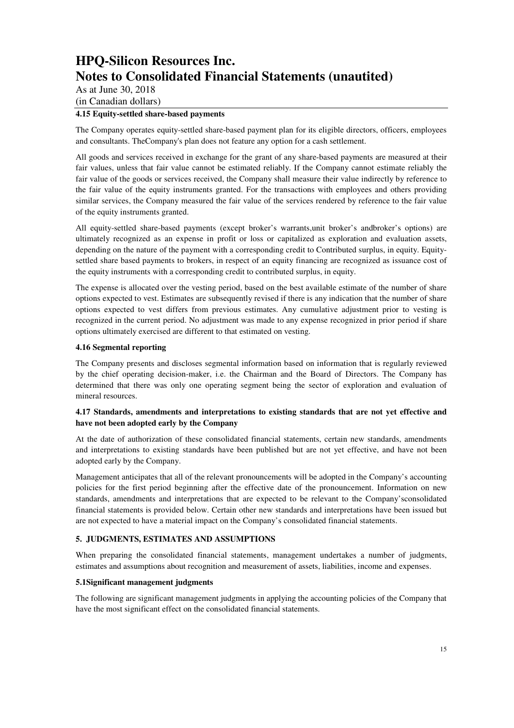As at June 30, 2018 (in Canadian dollars)

### **4.15 Equity-settled share-based payments**

The Company operates equity-settled share-based payment plan for its eligible directors, officers, employees and consultants. TheCompany's plan does not feature any option for a cash settlement.

All goods and services received in exchange for the grant of any share-based payments are measured at their fair values, unless that fair value cannot be estimated reliably. If the Company cannot estimate reliably the fair value of the goods or services received, the Company shall measure their value indirectly by reference to the fair value of the equity instruments granted. For the transactions with employees and others providing similar services, the Company measured the fair value of the services rendered by reference to the fair value of the equity instruments granted.

All equity-settled share-based payments (except broker's warrants,unit broker's andbroker's options) are ultimately recognized as an expense in profit or loss or capitalized as exploration and evaluation assets, depending on the nature of the payment with a corresponding credit to Contributed surplus, in equity. Equitysettled share based payments to brokers, in respect of an equity financing are recognized as issuance cost of the equity instruments with a corresponding credit to contributed surplus, in equity.

The expense is allocated over the vesting period, based on the best available estimate of the number of share options expected to vest. Estimates are subsequently revised if there is any indication that the number of share options expected to vest differs from previous estimates. Any cumulative adjustment prior to vesting is recognized in the current period. No adjustment was made to any expense recognized in prior period if share options ultimately exercised are different to that estimated on vesting.

### **4.16 Segmental reporting**

The Company presents and discloses segmental information based on information that is regularly reviewed by the chief operating decision-maker, i.e. the Chairman and the Board of Directors. The Company has determined that there was only one operating segment being the sector of exploration and evaluation of mineral resources.

### **4.17 Standards, amendments and interpretations to existing standards that are not yet effective and have not been adopted early by the Company**

At the date of authorization of these consolidated financial statements, certain new standards, amendments and interpretations to existing standards have been published but are not yet effective, and have not been adopted early by the Company.

Management anticipates that all of the relevant pronouncements will be adopted in the Company's accounting policies for the first period beginning after the effective date of the pronouncement. Information on new standards, amendments and interpretations that are expected to be relevant to the Company'sconsolidated financial statements is provided below. Certain other new standards and interpretations have been issued but are not expected to have a material impact on the Company's consolidated financial statements.

### **5. JUDGMENTS, ESTIMATES AND ASSUMPTIONS**

When preparing the consolidated financial statements, management undertakes a number of judgments, estimates and assumptions about recognition and measurement of assets, liabilities, income and expenses.

### **5.1Significant management judgments**

The following are significant management judgments in applying the accounting policies of the Company that have the most significant effect on the consolidated financial statements.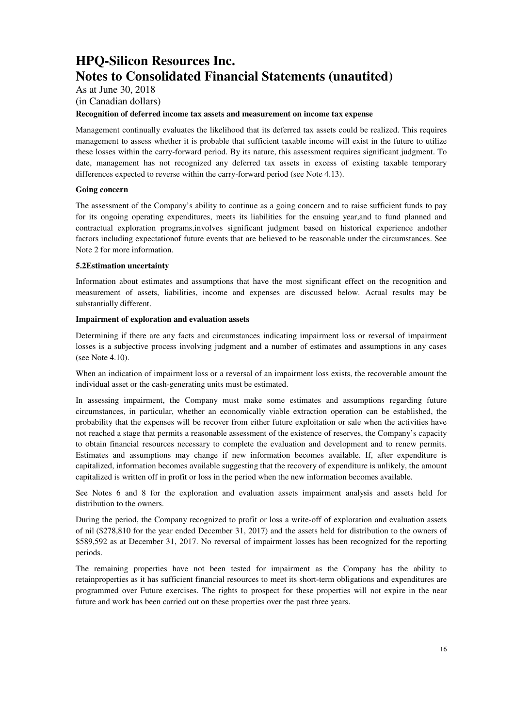As at June 30, 2018 (in Canadian dollars)

#### **Recognition of deferred income tax assets and measurement on income tax expense**

Management continually evaluates the likelihood that its deferred tax assets could be realized. This requires management to assess whether it is probable that sufficient taxable income will exist in the future to utilize these losses within the carry-forward period. By its nature, this assessment requires significant judgment. To date, management has not recognized any deferred tax assets in excess of existing taxable temporary differences expected to reverse within the carry-forward period (see Note 4.13).

#### **Going concern**

The assessment of the Company's ability to continue as a going concern and to raise sufficient funds to pay for its ongoing operating expenditures, meets its liabilities for the ensuing year,and to fund planned and contractual exploration programs,involves significant judgment based on historical experience andother factors including expectationof future events that are believed to be reasonable under the circumstances. See Note 2 for more information.

#### **5.2Estimation uncertainty**

Information about estimates and assumptions that have the most significant effect on the recognition and measurement of assets, liabilities, income and expenses are discussed below. Actual results may be substantially different.

#### **Impairment of exploration and evaluation assets**

Determining if there are any facts and circumstances indicating impairment loss or reversal of impairment losses is a subjective process involving judgment and a number of estimates and assumptions in any cases (see Note 4.10).

When an indication of impairment loss or a reversal of an impairment loss exists, the recoverable amount the individual asset or the cash-generating units must be estimated.

In assessing impairment, the Company must make some estimates and assumptions regarding future circumstances, in particular, whether an economically viable extraction operation can be established, the probability that the expenses will be recover from either future exploitation or sale when the activities have not reached a stage that permits a reasonable assessment of the existence of reserves, the Company's capacity to obtain financial resources necessary to complete the evaluation and development and to renew permits. Estimates and assumptions may change if new information becomes available. If, after expenditure is capitalized, information becomes available suggesting that the recovery of expenditure is unlikely, the amount capitalized is written off in profit or loss in the period when the new information becomes available.

See Notes 6 and 8 for the exploration and evaluation assets impairment analysis and assets held for distribution to the owners.

During the period, the Company recognized to profit or loss a write-off of exploration and evaluation assets of nil (\$278,810 for the year ended December 31, 2017) and the assets held for distribution to the owners of \$589,592 as at December 31, 2017. No reversal of impairment losses has been recognized for the reporting periods.

The remaining properties have not been tested for impairment as the Company has the ability to retainproperties as it has sufficient financial resources to meet its short-term obligations and expenditures are programmed over Future exercises. The rights to prospect for these properties will not expire in the near future and work has been carried out on these properties over the past three years.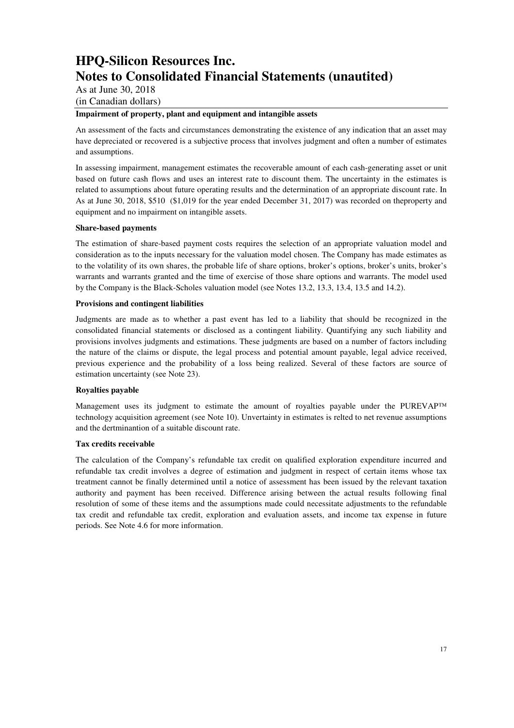As at June 30, 2018 (in Canadian dollars)

### **Impairment of property, plant and equipment and intangible assets**

An assessment of the facts and circumstances demonstrating the existence of any indication that an asset may have depreciated or recovered is a subjective process that involves judgment and often a number of estimates and assumptions.

In assessing impairment, management estimates the recoverable amount of each cash-generating asset or unit based on future cash flows and uses an interest rate to discount them. The uncertainty in the estimates is related to assumptions about future operating results and the determination of an appropriate discount rate. In As at June 30, 2018, \$510 (\$1,019 for the year ended December 31, 2017) was recorded on theproperty and equipment and no impairment on intangible assets.

### **Share-based payments**

The estimation of share-based payment costs requires the selection of an appropriate valuation model and consideration as to the inputs necessary for the valuation model chosen. The Company has made estimates as to the volatility of its own shares, the probable life of share options, broker's options, broker's units, broker's warrants and warrants granted and the time of exercise of those share options and warrants. The model used by the Company is the Black-Scholes valuation model (see Notes 13.2, 13.3, 13.4, 13.5 and 14.2).

#### **Provisions and contingent liabilities**

Judgments are made as to whether a past event has led to a liability that should be recognized in the consolidated financial statements or disclosed as a contingent liability. Quantifying any such liability and provisions involves judgments and estimations. These judgments are based on a number of factors including the nature of the claims or dispute, the legal process and potential amount payable, legal advice received, previous experience and the probability of a loss being realized. Several of these factors are source of estimation uncertainty (see Note 23).

#### **Royalties payable**

Management uses its judgment to estimate the amount of royalties payable under the PUREVAP™ technology acquisition agreement (see Note 10). Unvertainty in estimates is relted to net revenue assumptions and the dertminantion of a suitable discount rate.

#### **Tax credits receivable**

The calculation of the Company's refundable tax credit on qualified exploration expenditure incurred and refundable tax credit involves a degree of estimation and judgment in respect of certain items whose tax treatment cannot be finally determined until a notice of assessment has been issued by the relevant taxation authority and payment has been received. Difference arising between the actual results following final resolution of some of these items and the assumptions made could necessitate adjustments to the refundable tax credit and refundable tax credit, exploration and evaluation assets, and income tax expense in future periods. See Note 4.6 for more information.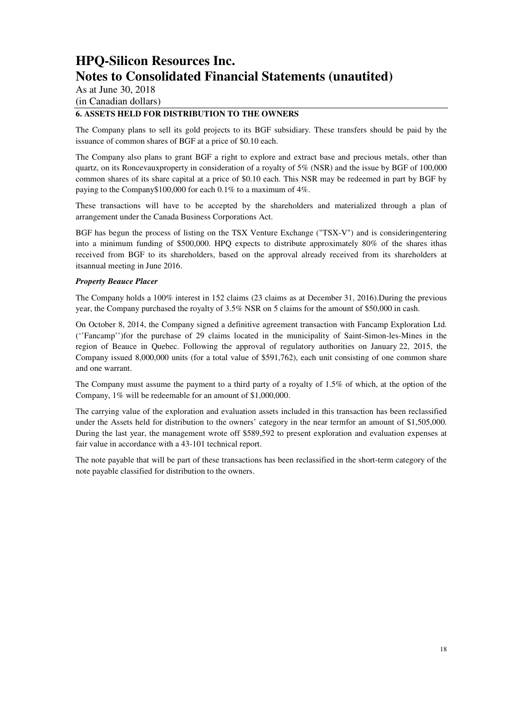As at June 30, 2018 (in Canadian dollars)

### **6. ASSETS HELD FOR DISTRIBUTION TO THE OWNERS**

The Company plans to sell its gold projects to its BGF subsidiary. These transfers should be paid by the issuance of common shares of BGF at a price of \$0.10 each.

The Company also plans to grant BGF a right to explore and extract base and precious metals, other than quartz, on its Roncevauxproperty in consideration of a royalty of 5% (NSR) and the issue by BGF of 100,000 common shares of its share capital at a price of \$0.10 each. This NSR may be redeemed in part by BGF by paying to the Company\$100,000 for each 0.1% to a maximum of 4%.

These transactions will have to be accepted by the shareholders and materialized through a plan of arrangement under the Canada Business Corporations Act.

BGF has begun the process of listing on the TSX Venture Exchange ("TSX-V") and is consideringentering into a minimum funding of \$500,000. HPQ expects to distribute approximately 80% of the shares ithas received from BGF to its shareholders, based on the approval already received from its shareholders at itsannual meeting in June 2016.

### *Property Beauce Placer*

The Company holds a 100% interest in 152 claims (23 claims as at December 31, 2016).During the previous year, the Company purchased the royalty of 3.5% NSR on 5 claims for the amount of \$50,000 in cash.

On October 8, 2014, the Company signed a definitive agreement transaction with Fancamp Exploration Ltd. (''Fancamp'')for the purchase of 29 claims located in the municipality of Saint-Simon-les-Mines in the region of Beauce in Quebec. Following the approval of regulatory authorities on January 22, 2015, the Company issued 8,000,000 units (for a total value of \$591,762), each unit consisting of one common share and one warrant.

The Company must assume the payment to a third party of a royalty of 1.5% of which, at the option of the Company, 1% will be redeemable for an amount of \$1,000,000.

The carrying value of the exploration and evaluation assets included in this transaction has been reclassified under the Assets held for distribution to the owners' category in the near termfor an amount of \$1,505,000. During the last year, the management wrote off \$589,592 to present exploration and evaluation expenses at fair value in accordance with a 43-101 technical report.

The note payable that will be part of these transactions has been reclassified in the short-term category of the note payable classified for distribution to the owners.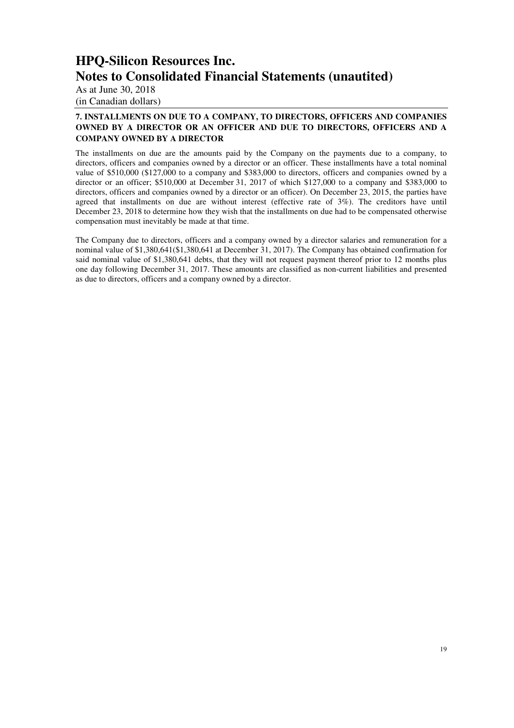As at June 30, 2018 (in Canadian dollars)

### **7. INSTALLMENTS ON DUE TO A COMPANY, TO DIRECTORS, OFFICERS AND COMPANIES OWNED BY A DIRECTOR OR AN OFFICER AND DUE TO DIRECTORS, OFFICERS AND A COMPANY OWNED BY A DIRECTOR**

The installments on due are the amounts paid by the Company on the payments due to a company, to directors, officers and companies owned by a director or an officer. These installments have a total nominal value of \$510,000 (\$127,000 to a company and \$383,000 to directors, officers and companies owned by a director or an officer; \$510,000 at December 31, 2017 of which \$127,000 to a company and \$383,000 to directors, officers and companies owned by a director or an officer). On December 23, 2015, the parties have agreed that installments on due are without interest (effective rate of 3%). The creditors have until December 23, 2018 to determine how they wish that the installments on due had to be compensated otherwise compensation must inevitably be made at that time.

The Company due to directors, officers and a company owned by a director salaries and remuneration for a nominal value of \$1,380,641(\$1,380,641 at December 31, 2017). The Company has obtained confirmation for said nominal value of \$1,380,641 debts, that they will not request payment thereof prior to 12 months plus one day following December 31, 2017. These amounts are classified as non-current liabilities and presented as due to directors, officers and a company owned by a director.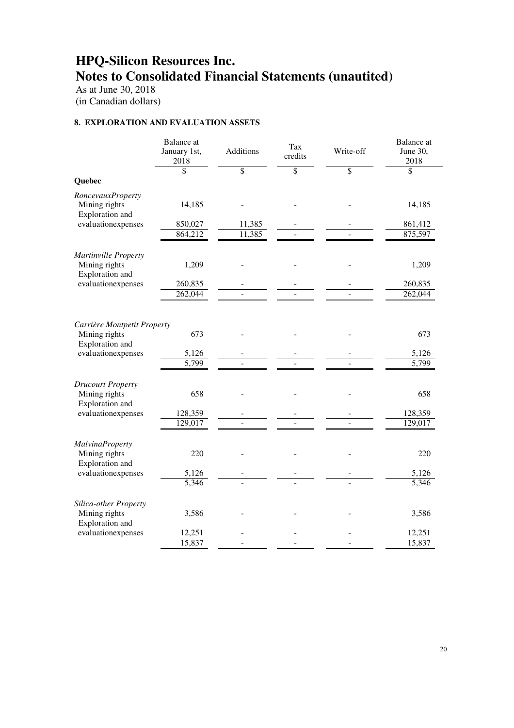(in Canadian dollars)

### **8. EXPLORATION AND EVALUATION ASSETS**

|                                                                                       | Balance at<br>January 1st,<br>2018 | Additions       | Tax<br>credits  | Write-off                | <b>Balance</b> at<br>June 30,<br>2018 |
|---------------------------------------------------------------------------------------|------------------------------------|-----------------|-----------------|--------------------------|---------------------------------------|
|                                                                                       | \$                                 | $\overline{\$}$ | $\overline{\$}$ | $\overline{\mathcal{S}}$ | \$                                    |
| Quebec                                                                                |                                    |                 |                 |                          |                                       |
| RoncevauxProperty<br>Mining rights                                                    | 14,185                             |                 |                 |                          | 14,185                                |
| Exploration and                                                                       |                                    |                 |                 |                          |                                       |
| evaluationexpenses                                                                    | 850,027                            | 11,385          |                 |                          | 861,412                               |
|                                                                                       | 864,212                            | 11,385          |                 |                          | 875,597                               |
| Martinville Property<br>Mining rights<br>Exploration and                              | 1,209                              |                 |                 |                          | 1,209                                 |
| evaluationexpenses                                                                    | 260,835                            |                 |                 |                          | 260,835                               |
|                                                                                       | 262,044                            |                 |                 |                          | 262,044                               |
| Carrière Montpetit Property<br>Mining rights<br>Exploration and<br>evaluationexpenses | 673<br>5,126<br>5,799              | $\overline{a}$  |                 |                          | 673<br>5,126<br>5,799                 |
| <b>Drucourt Property</b><br>Mining rights<br>Exploration and<br>evaluationexpenses    | 658<br>128,359<br>129,017          |                 |                 |                          | 658<br>128,359<br>129,017             |
| <b>MalvinaProperty</b><br>Mining rights<br>Exploration and                            | 220                                |                 |                 |                          | 220                                   |
| evaluationexpenses                                                                    | 5,126                              |                 |                 |                          | 5,126                                 |
|                                                                                       | 5,346                              |                 |                 |                          | 5,346                                 |
| Silica-other Property<br>Mining rights<br>Exploration and<br>evaluationexpenses       | 3,586<br>12,251                    |                 |                 |                          | 3,586<br>12,251                       |
|                                                                                       | 15,837                             |                 |                 |                          | 15,837                                |
|                                                                                       |                                    |                 |                 |                          |                                       |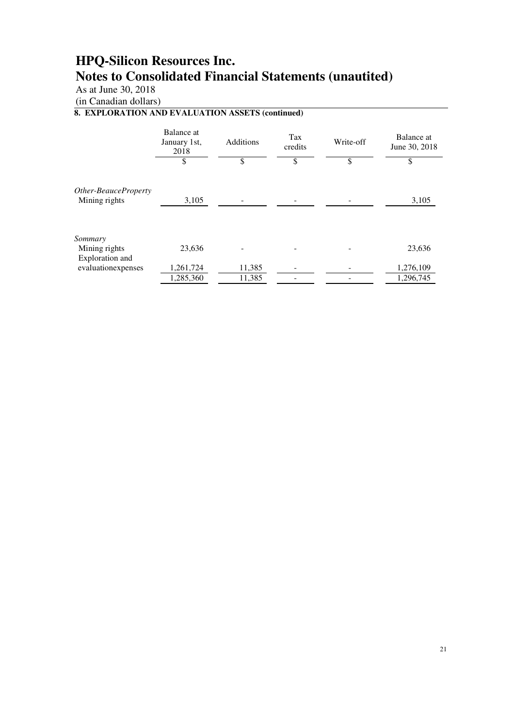**Notes to Consolidated Financial Statements (unautited)** 

As at June 30, 2018

### (in Canadian dollars) **8. EXPLORATION AND EVALUATION ASSETS (continued)**

## Balance at January 1st, 2018 Additions Tax<br>credits Tax Write-off Balance at Tune 30, 2018  $\texttt{\$}$  \$ \$ \$ \$ *Other-BeauceProperty* Mining rights 3,105 - - 3,105 *Sommary* Mining rights 23,636 - 23,636 - 23,636 Exploration and evaluationexpenses  $\frac{1,261,724}{1,285,360}$   $\frac{11,385}{11,385}$   $\frac{1}{1,296,745}$   $\frac{1,276,109}{1,296,745}$ 11,385 - 1,296,745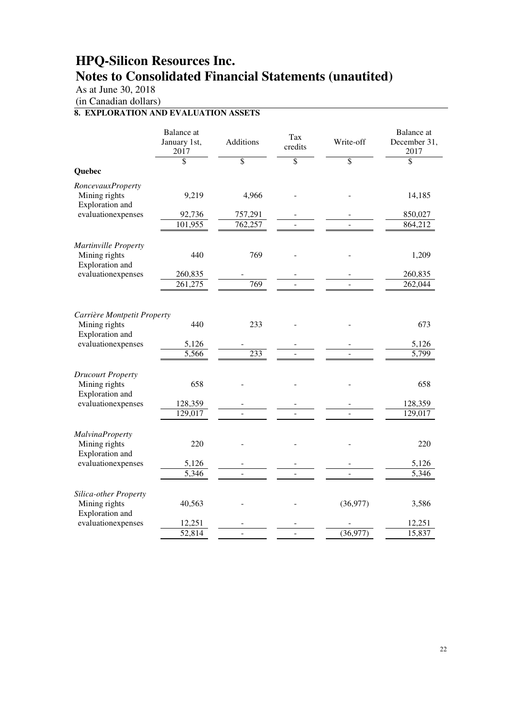# **Notes to Consolidated Financial Statements (unautited)**

As at June 30, 2018

(in Canadian dollars)

## **8. EXPLORATION AND EVALUATION ASSETS**

|                                                                 | Balance at<br>January 1st,<br>2017 | Additions                | Tax<br>credits           | Write-off | Balance at<br>December 31,<br>2017 |
|-----------------------------------------------------------------|------------------------------------|--------------------------|--------------------------|-----------|------------------------------------|
|                                                                 | \$                                 | $\overline{\mathcal{S}}$ | $\overline{\mathcal{S}}$ | \$        | $\overline{\mathcal{S}}$           |
| Quebec                                                          |                                    |                          |                          |           |                                    |
| RoncevauxProperty                                               |                                    |                          |                          |           |                                    |
| Mining rights<br>Exploration and                                | 9,219                              | 4,966                    |                          |           | 14,185                             |
| evaluationexpenses                                              | 92,736                             | 757,291                  |                          |           | 850,027                            |
|                                                                 | 101,955                            | 762,257                  |                          |           | 864,212                            |
| Martinville Property<br>Mining rights<br>Exploration and        | 440                                | 769                      |                          |           | 1,209                              |
| evaluationexpenses                                              | 260,835                            |                          |                          |           | 260,835                            |
|                                                                 | 261,275                            | 769                      |                          |           | 262,044                            |
| Carrière Montpetit Property<br>Mining rights<br>Exploration and | 440                                | 233                      |                          |           | 673                                |
| evaluationexpenses                                              | 5,126                              |                          |                          |           | 5,126                              |
|                                                                 | $\overline{5,566}$                 | $\overline{233}$         |                          |           | 5,799                              |
| <b>Drucourt Property</b><br>Mining rights                       | 658                                |                          |                          |           | 658                                |
| Exploration and<br>evaluationexpenses                           | 128,359                            |                          |                          |           | 128,359                            |
|                                                                 | 129,017                            |                          |                          |           | 129,017                            |
|                                                                 |                                    |                          |                          |           |                                    |
| <b>MalvinaProperty</b><br>Mining rights<br>Exploration and      | 220                                |                          |                          |           | 220                                |
| evaluationexpenses                                              | 5,126                              |                          |                          |           | 5,126                              |
|                                                                 | 5,346                              |                          |                          |           | 5,346                              |
| Silica-other Property<br>Mining rights<br>Exploration and       | 40,563                             |                          |                          | (36, 977) | 3,586                              |
| evaluationexpenses                                              | 12,251                             |                          |                          |           | 12,251                             |
|                                                                 | 52,814                             |                          |                          | (36,977)  | 15,837                             |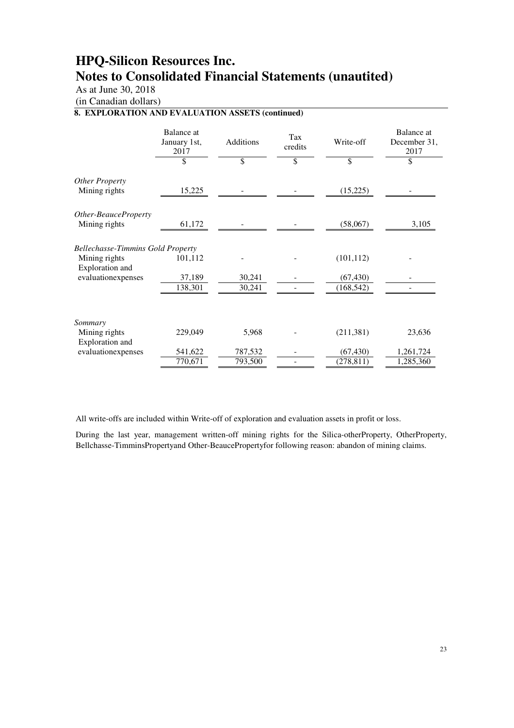## **Notes to Consolidated Financial Statements (unautited)**

As at June 30, 2018

(in Canadian dollars)

## **8. EXPLORATION AND EVALUATION ASSETS (continued)**

|                                          | Balance at<br>January 1st,<br>2017 | Additions | Tax<br>credits | Write-off  | Balance at<br>December 31,<br>2017 |
|------------------------------------------|------------------------------------|-----------|----------------|------------|------------------------------------|
|                                          | \$                                 | \$        | \$             | \$         | \$                                 |
| Other Property<br>Mining rights          | 15,225                             |           |                | (15, 225)  |                                    |
| Other-BeauceProperty<br>Mining rights    | 61,172                             |           |                | (58,067)   | 3,105                              |
| <b>Bellechasse-Timmins Gold Property</b> |                                    |           |                |            |                                    |
| Mining rights<br>Exploration and         | 101,112                            |           |                | (101, 112) |                                    |
| evaluationexpenses                       | 37,189                             | 30,241    |                | (67, 430)  |                                    |
|                                          | 138,301                            | 30,241    |                | (168, 542) |                                    |
| Sommary                                  |                                    |           |                |            |                                    |
| Mining rights<br>Exploration and         | 229,049                            | 5,968     |                | (211, 381) | 23,636                             |
| evaluationexpenses                       | 541,622                            | 787,532   |                | (67, 430)  | 1,261,724                          |
|                                          | 770,671                            | 793,500   |                | (278, 811) | 1,285,360                          |

All write-offs are included within Write-off of exploration and evaluation assets in profit or loss.

During the last year, management written-off mining rights for the Silica-otherProperty, OtherProperty, Bellchasse-TimminsPropertyand Other-BeaucePropertyfor following reason: abandon of mining claims.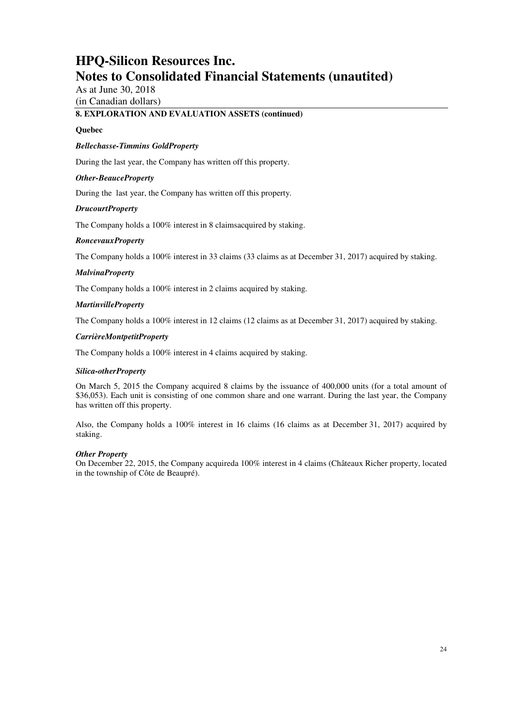As at June 30, 2018 (in Canadian dollars)

### **8. EXPLORATION AND EVALUATION ASSETS (continued)**

#### **Quebec**

#### *Bellechasse-Timmins GoldProperty*

During the last year, the Company has written off this property.

#### *Other-BeauceProperty*

During the last year, the Company has written off this property.

#### *DrucourtProperty*

The Company holds a 100% interest in 8 claimsacquired by staking.

#### *RoncevauxProperty*

The Company holds a 100% interest in 33 claims (33 claims as at December 31, 2017) acquired by staking.

#### *MalvinaProperty*

The Company holds a 100% interest in 2 claims acquired by staking.

#### *MartinvilleProperty*

The Company holds a 100% interest in 12 claims (12 claims as at December 31, 2017) acquired by staking.

#### *CarrièreMontpetitProperty*

The Company holds a 100% interest in 4 claims acquired by staking.

#### *Silica-otherProperty*

On March 5, 2015 the Company acquired 8 claims by the issuance of 400,000 units (for a total amount of \$36,053). Each unit is consisting of one common share and one warrant. During the last year, the Company has written off this property.

Also, the Company holds a 100% interest in 16 claims (16 claims as at December 31, 2017) acquired by staking.

#### *Other Property*

On December 22, 2015, the Company acquireda 100% interest in 4 claims (Châteaux Richer property, located in the township of Côte de Beaupré).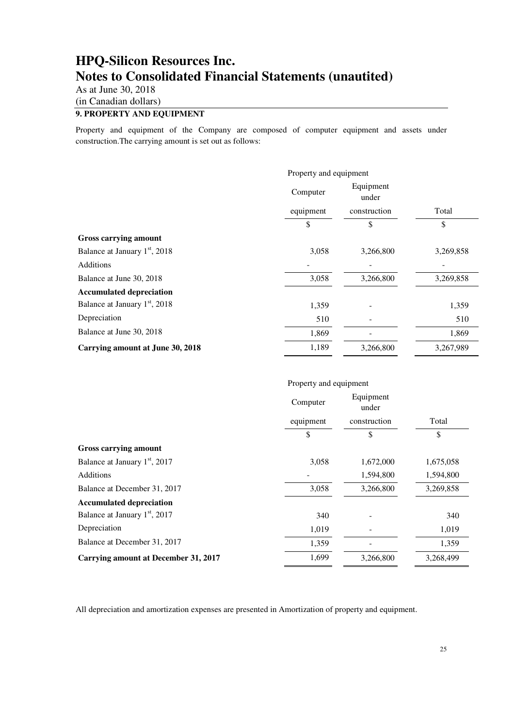As at June 30, 2018 (in Canadian dollars)

### **9. PROPERTY AND EQUIPMENT**

Property and equipment of the Company are composed of computer equipment and assets under construction.The carrying amount is set out as follows:

|                                           | Property and equipment         |              |           |  |
|-------------------------------------------|--------------------------------|--------------|-----------|--|
|                                           | Equipment<br>Computer<br>under |              |           |  |
|                                           | equipment                      | construction | Total     |  |
|                                           | \$                             | \$           | \$        |  |
| <b>Gross carrying amount</b>              |                                |              |           |  |
| Balance at January 1 <sup>st</sup> , 2018 | 3,058                          | 3,266,800    | 3,269,858 |  |
| Additions                                 |                                |              |           |  |
| Balance at June 30, 2018                  | 3,058                          | 3,266,800    | 3,269,858 |  |
| <b>Accumulated depreciation</b>           |                                |              |           |  |
| Balance at January 1 <sup>st</sup> , 2018 | 1,359                          |              | 1,359     |  |
| Depreciation                              | 510                            |              | 510       |  |
| Balance at June 30, 2018                  | 1,869                          |              | 1,869     |  |
| Carrying amount at June 30, 2018          | 1,189                          | 3,266,800    | 3,267,989 |  |

|                                             | Property and equipment |                    |           |  |
|---------------------------------------------|------------------------|--------------------|-----------|--|
|                                             | Computer               | Equipment<br>under |           |  |
|                                             | equipment              | construction       | Total     |  |
|                                             | \$                     | \$                 | \$        |  |
| Gross carrying amount                       |                        |                    |           |  |
| Balance at January 1 <sup>st</sup> , 2017   | 3,058                  | 1,672,000          | 1,675,058 |  |
| <b>Additions</b>                            |                        | 1,594,800          | 1,594,800 |  |
| Balance at December 31, 2017                | 3,058                  | 3,266,800          | 3,269,858 |  |
| <b>Accumulated depreciation</b>             |                        |                    |           |  |
| Balance at January 1 <sup>st</sup> , 2017   | 340                    |                    | 340       |  |
| Depreciation                                | 1,019                  |                    | 1,019     |  |
| Balance at December 31, 2017                | 1,359                  |                    | 1,359     |  |
| <b>Carrying amount at December 31, 2017</b> | 1,699                  | 3,266,800          | 3,268,499 |  |

All depreciation and amortization expenses are presented in Amortization of property and equipment.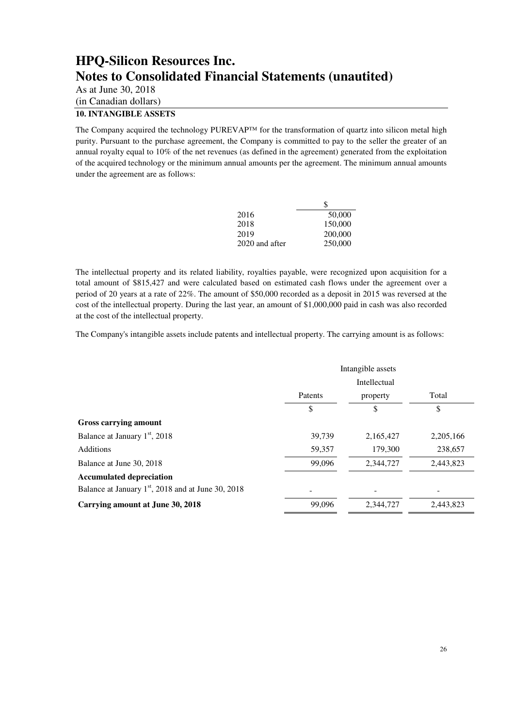As at June 30, 2018 (in Canadian dollars)

### **10. INTANGIBLE ASSETS**

The Company acquired the technology PUREVAP™ for the transformation of quartz into silicon metal high purity. Pursuant to the purchase agreement, the Company is committed to pay to the seller the greater of an annual royalty equal to 10% of the net revenues (as defined in the agreement) generated from the exploitation of the acquired technology or the minimum annual amounts per the agreement. The minimum annual amounts under the agreement are as follows:

|                | Ж       |
|----------------|---------|
| 2016           | 50,000  |
| 2018           | 150,000 |
| 2019           | 200,000 |
| 2020 and after | 250,000 |

The intellectual property and its related liability, royalties payable, were recognized upon acquisition for a total amount of \$815,427 and were calculated based on estimated cash flows under the agreement over a period of 20 years at a rate of 22%. The amount of \$50,000 recorded as a deposit in 2015 was reversed at the cost of the intellectual property. During the last year, an amount of \$1,000,000 paid in cash was also recorded at the cost of the intellectual property.

The Company's intangible assets include patents and intellectual property. The carrying amount is as follows:

|                                                      | Intangible assets |              |             |  |
|------------------------------------------------------|-------------------|--------------|-------------|--|
|                                                      |                   | Intellectual |             |  |
|                                                      | Patents           | property     | Total       |  |
|                                                      | \$                | \$           | \$          |  |
| Gross carrying amount                                |                   |              |             |  |
| Balance at January 1 <sup>st</sup> , 2018            | 39,739            | 2,165,427    | 2, 205, 166 |  |
| <b>Additions</b>                                     | 59,357            | 179,300      | 238,657     |  |
| Balance at June 30, 2018                             | 99,096            | 2,344,727    | 2,443,823   |  |
| <b>Accumulated depreciation</b>                      |                   |              |             |  |
| Balance at January $1st$ , 2018 and at June 30, 2018 |                   |              |             |  |
| Carrying amount at June 30, 2018                     | 99,096            | 2,344,727    | 2,443,823   |  |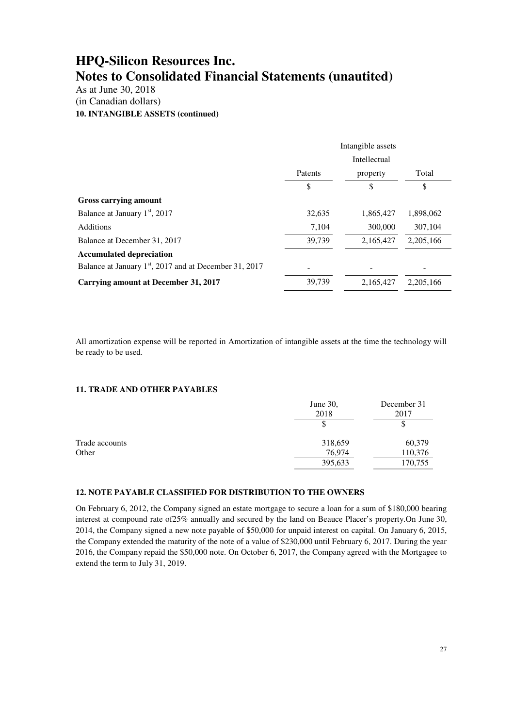As at June 30, 2018 (in Canadian dollars)

### **10. INTANGIBLE ASSETS (continued)**

|                                                          | Intangible assets |                     |             |
|----------------------------------------------------------|-------------------|---------------------|-------------|
|                                                          |                   | <b>Intellectual</b> |             |
|                                                          | Patents           | property            | Total       |
|                                                          | \$                | \$                  | \$          |
| Gross carrying amount                                    |                   |                     |             |
| Balance at January 1 <sup>st</sup> , 2017                | 32,635            | 1,865,427           | 1,898,062   |
| <b>Additions</b>                                         | 7,104             | 300,000             | 307,104     |
| Balance at December 31, 2017                             | 39,739            | 2,165,427           | 2,205,166   |
| <b>Accumulated depreciation</b>                          |                   |                     |             |
| Balance at January $1st$ , 2017 and at December 31, 2017 |                   |                     |             |
| Carrying amount at December 31, 2017                     | 39,739            | 2,165,427           | 2, 205, 166 |

All amortization expense will be reported in Amortization of intangible assets at the time the technology will be ready to be used.

### **11. TRADE AND OTHER PAYABLES**

|                | June 30,<br>2018 | December 31<br>2017 |
|----------------|------------------|---------------------|
|                |                  | \$                  |
| Trade accounts | 318,659          | 60,379              |
| Other          | 76,974           | 110,376             |
|                | 395,633          | 170,755             |

### **12. NOTE PAYABLE CLASSIFIED FOR DISTRIBUTION TO THE OWNERS**

On February 6, 2012, the Company signed an estate mortgage to secure a loan for a sum of \$180,000 bearing interest at compound rate of25% annually and secured by the land on Beauce Placer's property.On June 30, 2014, the Company signed a new note payable of \$50,000 for unpaid interest on capital. On January 6, 2015, the Company extended the maturity of the note of a value of \$230,000 until February 6, 2017. During the year 2016, the Company repaid the \$50,000 note. On October 6, 2017, the Company agreed with the Mortgagee to extend the term to July 31, 2019.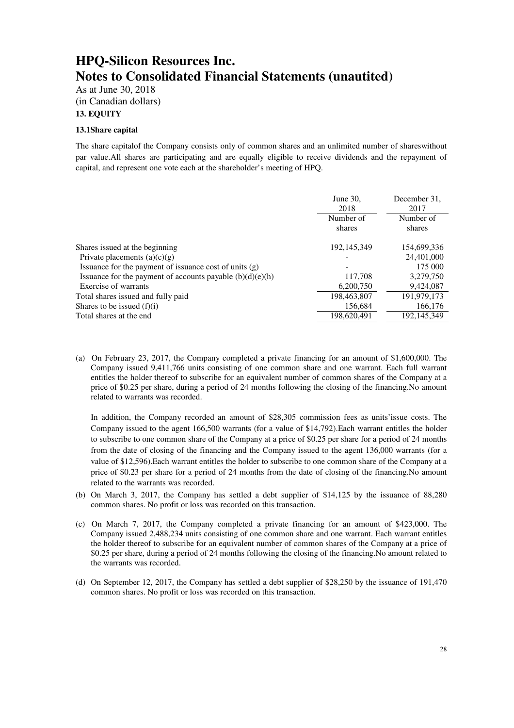As at June 30, 2018 (in Canadian dollars)

### **13. EQUITY**

#### **13.1Share capital**

The share capitalof the Company consists only of common shares and an unlimited number of shareswithout par value.All shares are participating and are equally eligible to receive dividends and the repayment of capital, and represent one vote each at the shareholder's meeting of HPQ.

|                                                             | June $30$ ,<br>2018 | December 31.<br>2017 |
|-------------------------------------------------------------|---------------------|----------------------|
|                                                             | Number of           | Number of            |
|                                                             | shares              | shares               |
| Shares issued at the beginning                              | 192, 145, 349       | 154,699,336          |
| Private placements $(a)(c)(g)$                              |                     | 24,401,000           |
| Issuance for the payment of issuance cost of units (g)      |                     | 175 000              |
| Issuance for the payment of accounts payable $(b)(d)(e)(h)$ | 117,708             | 3,279,750            |
| Exercise of warrants                                        | 6,200,750           | 9,424,087            |
| Total shares issued and fully paid                          | 198,463,807         | 191,979,173          |
| Shares to be issued $(f)(i)$                                | 156,684             | 166,176              |
| Total shares at the end                                     | 198,620,491         | 192, 145, 349        |

(a) On February 23, 2017, the Company completed a private financing for an amount of \$1,600,000. The Company issued 9,411,766 units consisting of one common share and one warrant. Each full warrant entitles the holder thereof to subscribe for an equivalent number of common shares of the Company at a price of \$0.25 per share, during a period of 24 months following the closing of the financing.No amount related to warrants was recorded.

In addition, the Company recorded an amount of \$28,305 commission fees as units'issue costs. The Company issued to the agent 166,500 warrants (for a value of \$14,792).Each warrant entitles the holder to subscribe to one common share of the Company at a price of \$0.25 per share for a period of 24 months from the date of closing of the financing and the Company issued to the agent 136,000 warrants (for a value of \$12,596).Each warrant entitles the holder to subscribe to one common share of the Company at a price of \$0.23 per share for a period of 24 months from the date of closing of the financing.No amount related to the warrants was recorded.

- (b) On March 3, 2017, the Company has settled a debt supplier of \$14,125 by the issuance of 88,280 common shares. No profit or loss was recorded on this transaction.
- (c) On March 7, 2017, the Company completed a private financing for an amount of \$423,000. The Company issued 2,488,234 units consisting of one common share and one warrant. Each warrant entitles the holder thereof to subscribe for an equivalent number of common shares of the Company at a price of \$0.25 per share, during a period of 24 months following the closing of the financing.No amount related to the warrants was recorded.
- (d) On September 12, 2017, the Company has settled a debt supplier of \$28,250 by the issuance of 191,470 common shares. No profit or loss was recorded on this transaction.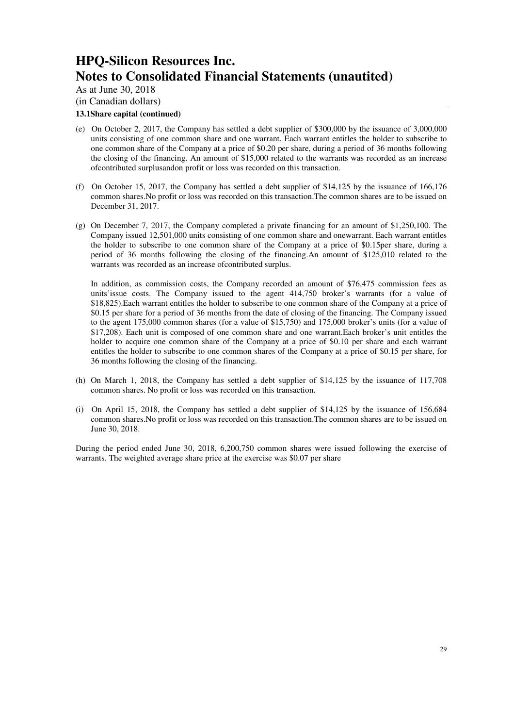As at June 30, 2018

(in Canadian dollars)

### **13.1Share capital (continued)**

- (e) On October 2, 2017, the Company has settled a debt supplier of \$300,000 by the issuance of 3,000,000 units consisting of one common share and one warrant. Each warrant entitles the holder to subscribe to one common share of the Company at a price of \$0.20 per share, during a period of 36 months following the closing of the financing. An amount of \$15,000 related to the warrants was recorded as an increase ofcontributed surplusandon profit or loss was recorded on this transaction.
- (f) On October 15, 2017, the Company has settled a debt supplier of \$14,125 by the issuance of 166,176 common shares.No profit or loss was recorded on this transaction.The common shares are to be issued on December 31, 2017.
- (g) On December 7, 2017, the Company completed a private financing for an amount of \$1,250,100. The Company issued 12,501,000 units consisting of one common share and onewarrant. Each warrant entitles the holder to subscribe to one common share of the Company at a price of \$0.15per share, during a period of 36 months following the closing of the financing.An amount of \$125,010 related to the warrants was recorded as an increase ofcontributed surplus.

In addition, as commission costs, the Company recorded an amount of \$76,475 commission fees as units'issue costs. The Company issued to the agent 414,750 broker's warrants (for a value of \$18,825).Each warrant entitles the holder to subscribe to one common share of the Company at a price of \$0.15 per share for a period of 36 months from the date of closing of the financing. The Company issued to the agent 175,000 common shares (for a value of \$15,750) and 175,000 broker's units (for a value of \$17,208). Each unit is composed of one common share and one warrant.Each broker's unit entitles the holder to acquire one common share of the Company at a price of \$0.10 per share and each warrant entitles the holder to subscribe to one common shares of the Company at a price of \$0.15 per share, for 36 months following the closing of the financing.

- (h) On March 1, 2018, the Company has settled a debt supplier of \$14,125 by the issuance of 117,708 common shares. No profit or loss was recorded on this transaction.
- (i) On April 15, 2018, the Company has settled a debt supplier of \$14,125 by the issuance of 156,684 common shares.No profit or loss was recorded on this transaction.The common shares are to be issued on June 30, 2018.

During the period ended June 30, 2018, 6,200,750 common shares were issued following the exercise of warrants. The weighted average share price at the exercise was \$0.07 per share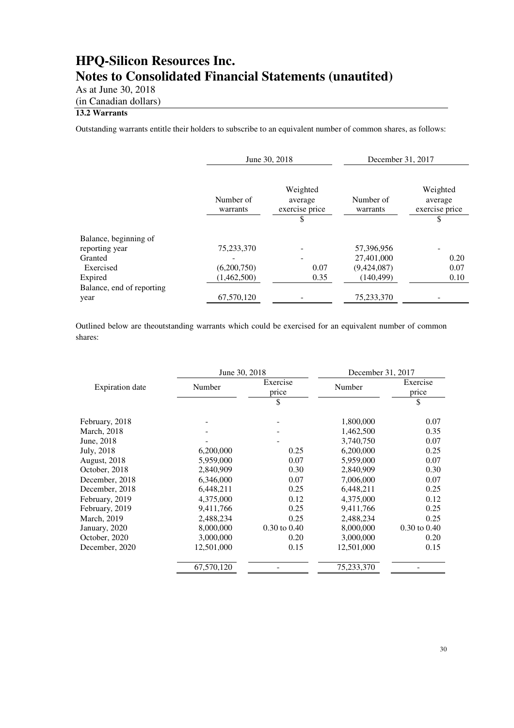As at June 30, 2018 (in Canadian dollars)

### **13.2 Warrants**

Outstanding warrants entitle their holders to subscribe to an equivalent number of common shares, as follows:

|                           | June 30, 2018         |                                             | December 31, 2017     |                                             |
|---------------------------|-----------------------|---------------------------------------------|-----------------------|---------------------------------------------|
|                           | Number of<br>warrants | Weighted<br>average<br>exercise price<br>\$ | Number of<br>warrants | Weighted<br>average<br>exercise price<br>\$ |
| Balance, beginning of     |                       |                                             |                       |                                             |
| reporting year            | 75,233,370            |                                             | 57,396,956            |                                             |
| Granted                   |                       |                                             | 27,401,000            | 0.20                                        |
| Exercised                 | (6,200,750)           | 0.07                                        | (9,424,087)           | 0.07                                        |
| Expired                   | (1,462,500)           | 0.35                                        | (140, 499)            | 0.10                                        |
| Balance, end of reporting |                       |                                             |                       |                                             |
| year                      | 67,570,120            |                                             | 75,233,370            |                                             |

Outlined below are theoutstanding warrants which could be exercised for an equivalent number of common shares:

|                        | June 30, 2018 | December 31, 2017 |            |                   |
|------------------------|---------------|-------------------|------------|-------------------|
| <b>Expiration</b> date | Number        | Exercise<br>price | Number     | Exercise<br>price |
|                        |               | \$                |            | \$                |
| February, 2018         |               |                   | 1,800,000  | 0.07              |
| March, 2018            |               |                   | 1,462,500  | 0.35              |
| June, 2018             |               |                   | 3,740,750  | 0.07              |
| July, 2018             | 6,200,000     | 0.25              | 6,200,000  | 0.25              |
| <b>August</b> , 2018   | 5,959,000     | 0.07              | 5,959,000  | 0.07              |
| October, 2018          | 2,840,909     | 0.30              | 2,840,909  | 0.30              |
| December, 2018         | 6,346,000     | 0.07              | 7,006,000  | 0.07              |
| December, 2018         | 6,448,211     | 0.25              | 6,448,211  | 0.25              |
| February, 2019         | 4,375,000     | 0.12              | 4,375,000  | 0.12              |
| February, 2019         | 9,411,766     | 0.25              | 9,411,766  | 0.25              |
| March, 2019            | 2,488,234     | 0.25              | 2,488,234  | 0.25              |
| January, 2020          | 8,000,000     | 0.30 to 0.40      | 8,000,000  | $0.30$ to $0.40$  |
| October, 2020          | 3,000,000     | 0.20              | 3,000,000  | 0.20              |
| December, 2020         | 12,501,000    | 0.15              | 12,501,000 | 0.15              |
|                        | 67,570,120    |                   | 75,233,370 |                   |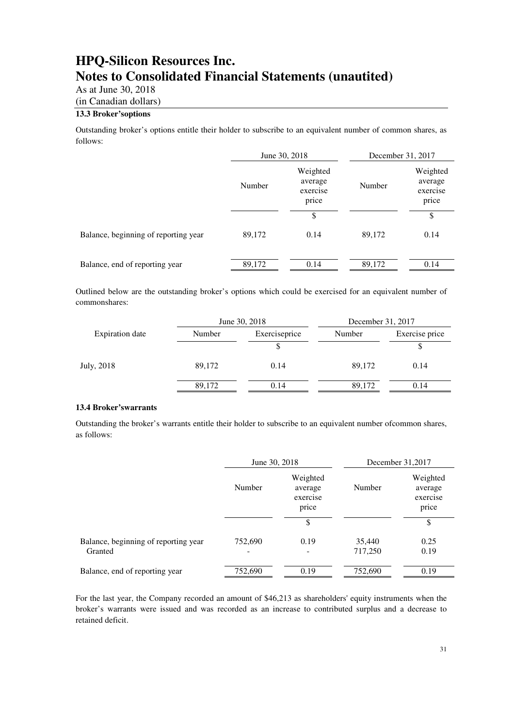As at June 30, 2018 (in Canadian dollars)

### **13.3 Broker'soptions**

Outstanding broker's options entitle their holder to subscribe to an equivalent number of common shares, as follows:

|                                      |        | June 30, 2018                            |        | December 31, 2017                        |  |
|--------------------------------------|--------|------------------------------------------|--------|------------------------------------------|--|
|                                      | Number | Weighted<br>average<br>exercise<br>price | Number | Weighted<br>average<br>exercise<br>price |  |
|                                      |        | \$                                       |        | \$                                       |  |
| Balance, beginning of reporting year | 89,172 | 0.14                                     | 89,172 | 0.14                                     |  |
| Balance, end of reporting year       | 89,172 | 0.14                                     | 89,172 | 0.14                                     |  |
|                                      |        |                                          |        |                                          |  |

Outlined below are the outstanding broker's options which could be exercised for an equivalent number of commonshares:

|                 |        | June 30, 2018 |        | December 31, 2017 |  |
|-----------------|--------|---------------|--------|-------------------|--|
| Expiration date | Number | Exerciseprice | Number | Exercise price    |  |
|                 |        |               |        |                   |  |
| July, 2018      | 89,172 | 0.14          | 89.172 | 0.14              |  |
|                 | 89,172 | 0.14          | 89.172 | 0.14              |  |

#### **13.4 Broker'swarrants**

Outstanding the broker's warrants entitle their holder to subscribe to an equivalent number ofcommon shares, as follows:

|                                                 | June 30, 2018                                      |      | December 31,2017  |                                          |
|-------------------------------------------------|----------------------------------------------------|------|-------------------|------------------------------------------|
|                                                 | Weighted<br>Number<br>average<br>exercise<br>price |      | Number            | Weighted<br>average<br>exercise<br>price |
|                                                 |                                                    | \$   |                   | \$                                       |
| Balance, beginning of reporting year<br>Granted | 752,690                                            | 0.19 | 35,440<br>717,250 | 0.25<br>0.19                             |
| Balance, end of reporting year                  | 752,690                                            | 0.19 | 752,690           | 0.19                                     |

For the last year, the Company recorded an amount of \$46,213 as shareholders' equity instruments when the broker's warrants were issued and was recorded as an increase to contributed surplus and a decrease to retained deficit.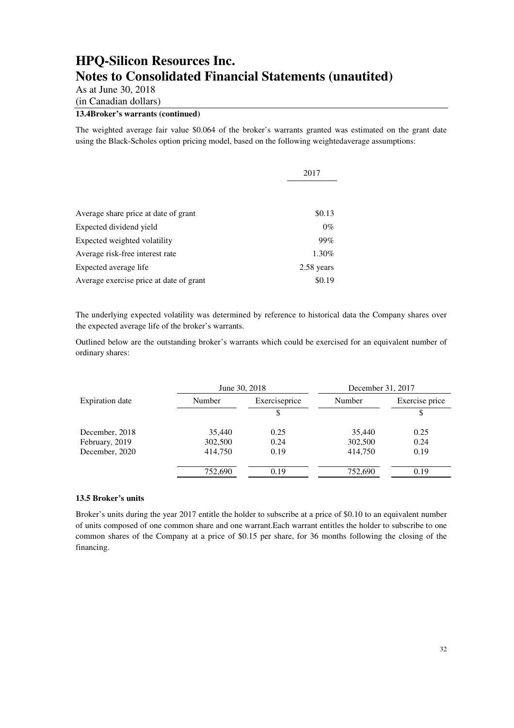As at June 30, 2018

# (in Canadian dollars)

## **13.4Broker's warrants (continued)**

The weighted average fair value \$0.064 of the broker's warrants granted was estimated on the grant date using the Black-Scholes option pricing model, based on the following weightedaverage assumptions:

|                                         | 2017       |
|-----------------------------------------|------------|
|                                         |            |
| Average share price at date of grant    | \$0.13     |
| Expected dividend yield                 | $0\%$      |
| Expected weighted volatility            | 99%        |
| Average risk-free interest rate         | 1.30%      |
| Expected average life                   | 2.58 years |
| Average exercise price at date of grant | \$0.19     |

The underlying expected volatility was determined by reference to historical data the Company shares over the expected average life of the broker's warrants.

Outlined below are the outstanding broker's warrants which could be exercised for an equivalent number of ordinary shares:

|                        |         | June 30, 2018 |         | December 31, 2017 |  |
|------------------------|---------|---------------|---------|-------------------|--|
| <b>Expiration</b> date | Number  | Exerciseprice | Number  | Exercise price    |  |
|                        |         | \$            |         |                   |  |
| December, 2018         | 35,440  | 0.25          | 35,440  | 0.25              |  |
| February, 2019         | 302,500 | 0.24          | 302,500 | 0.24              |  |
| December, 2020         | 414,750 | 0.19          | 414,750 | 0.19              |  |
|                        | 752,690 | 0.19          | 752,690 | 0.19              |  |

### **13.5 Broker's units**

Broker's units during the year 2017 entitle the holder to subscribe at a price of \$0.10 to an equivalent number of units composed of one common share and one warrant.Each warrant entitles the holder to subscribe to one common shares of the Company at a price of \$0.15 per share, for 36 months following the closing of the financing.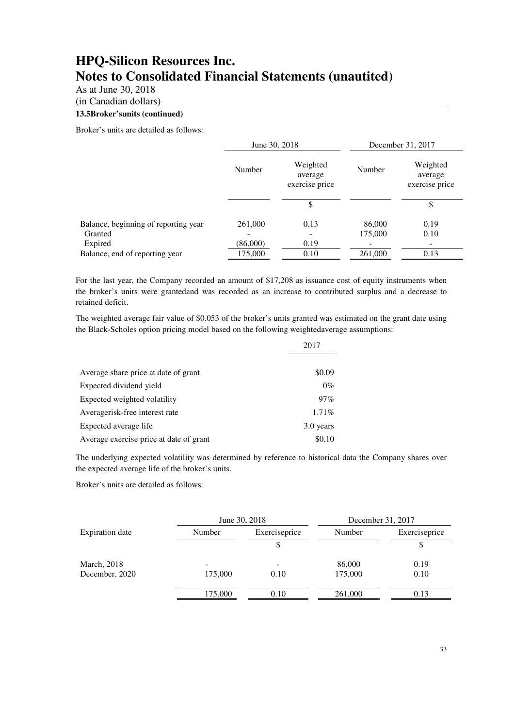As at June 30, 2018 (in Canadian dollars)

### **13.5Broker'sunits (continued)**

Broker's units are detailed as follows:

|                                                 |          | June 30, 2018                         |                   | December 31, 2017                     |
|-------------------------------------------------|----------|---------------------------------------|-------------------|---------------------------------------|
|                                                 | Number   | Weighted<br>average<br>exercise price | Number            | Weighted<br>average<br>exercise price |
|                                                 |          | \$                                    |                   | \$                                    |
| Balance, beginning of reporting year<br>Granted | 261,000  | 0.13                                  | 86,000<br>175,000 | 0.19<br>0.10                          |
| Expired                                         | (86,000) | 0.19                                  |                   |                                       |
| Balance, end of reporting year                  | 175,000  | 0.10                                  | 261,000           | 0.13                                  |

For the last year, the Company recorded an amount of \$17,208 as issuance cost of equity instruments when the broker's units were grantedand was recorded as an increase to contributed surplus and a decrease to retained deficit.

The weighted average fair value of \$0.053 of the broker's units granted was estimated on the grant date using the Black-Scholes option pricing model based on the following weightedaverage assumptions:

|                                         | 2017      |
|-----------------------------------------|-----------|
| Average share price at date of grant    | \$0.09    |
| Expected dividend yield                 | $0\%$     |
| Expected weighted volatility            | 97%       |
| Averagerisk-free interest rate          | 1.71%     |
| Expected average life                   | 3.0 years |
| Average exercise price at date of grant | \$0.10    |

The underlying expected volatility was determined by reference to historical data the Company shares over the expected average life of the broker's units.

Broker's units are detailed as follows:

|                        |         | June 30, 2018 |         | December 31, 2017 |  |
|------------------------|---------|---------------|---------|-------------------|--|
| <b>Expiration</b> date | Number  | Exerciseprice | Number  | Exerciseprice     |  |
|                        |         |               |         |                   |  |
| March, 2018            | -       |               | 86,000  | 0.19              |  |
| December, 2020         | 175,000 | 0.10          | 175,000 | 0.10              |  |
|                        | 175,000 | 0.10          | 261,000 | 0.13              |  |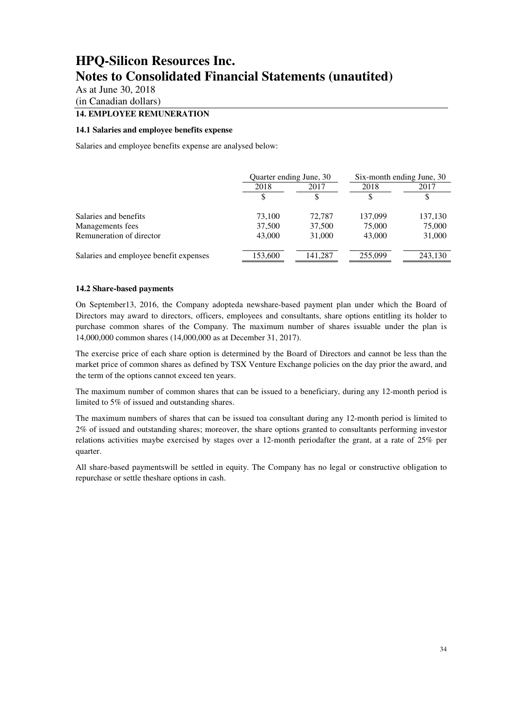As at June 30, 2018

(in Canadian dollars)

## **14. EMPLOYEE REMUNERATION**

#### **14.1 Salaries and employee benefits expense**

Salaries and employee benefits expense are analysed below:

|                                        |         | Ouarter ending June, 30 |         | Six-month ending June, 30 |
|----------------------------------------|---------|-------------------------|---------|---------------------------|
|                                        | 2018    | 2017                    |         | 2017                      |
|                                        |         | S                       |         | S                         |
| Salaries and benefits                  | 73,100  | 72,787                  | 137,099 | 137,130                   |
| Managements fees                       | 37,500  | 37,500                  | 75,000  | 75,000                    |
| Remuneration of director               | 43,000  | 31,000                  | 43,000  | 31,000                    |
| Salaries and employee benefit expenses | 153,600 | 141,287                 | 255,099 | 243,130                   |

### **14.2 Share-based payments**

On September13, 2016, the Company adopteda newshare-based payment plan under which the Board of Directors may award to directors, officers, employees and consultants, share options entitling its holder to purchase common shares of the Company. The maximum number of shares issuable under the plan is 14,000,000 common shares (14,000,000 as at December 31, 2017).

The exercise price of each share option is determined by the Board of Directors and cannot be less than the market price of common shares as defined by TSX Venture Exchange policies on the day prior the award, and the term of the options cannot exceed ten years.

The maximum number of common shares that can be issued to a beneficiary, during any 12-month period is limited to 5% of issued and outstanding shares.

The maximum numbers of shares that can be issued toa consultant during any 12-month period is limited to 2% of issued and outstanding shares; moreover, the share options granted to consultants performing investor relations activities maybe exercised by stages over a 12-month periodafter the grant, at a rate of 25% per quarter.

All share-based paymentswill be settled in equity. The Company has no legal or constructive obligation to repurchase or settle theshare options in cash.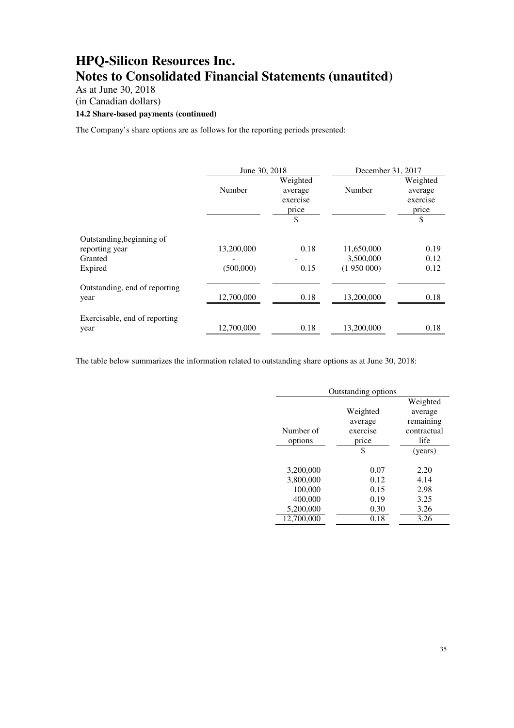As at June 30, 2018 (in Canadian dollars)

### **14.2 Share-based payments (continued)**

The Company's share options are as follows for the reporting periods presented:

|                                             | June 30, 2018 |                                                | December 31, 2017 |                                                |
|---------------------------------------------|---------------|------------------------------------------------|-------------------|------------------------------------------------|
|                                             | Number        | Weighted<br>average<br>exercise<br>price<br>\$ | Number            | Weighted<br>average<br>exercise<br>price<br>\$ |
| Outstanding, beginning of<br>reporting year | 13,200,000    | 0.18                                           | 11,650,000        | 0.19                                           |
| Granted                                     |               |                                                | 3,500,000         | 0.12                                           |
| Expired                                     | (500,000)     | 0.15                                           | (1950000)         | 0.12                                           |
| Outstanding, end of reporting<br>year       | 12,700,000    | 0.18                                           | 13,200,000        | 0.18                                           |
|                                             |               |                                                |                   |                                                |
| Exercisable, end of reporting<br>year       | 12,700,000    | 0.18                                           | 13,200,000        | 0.18                                           |

The table below summarizes the information related to outstanding share options as at June 30, 2018:

|            | Outstanding options |             |
|------------|---------------------|-------------|
|            |                     | Weighted    |
|            | Weighted            | average     |
|            | average             | remaining   |
| Number of  | exercise            | contractual |
| options    | price               | life        |
|            | \$                  | (years)     |
|            |                     |             |
| 3,200,000  | 0.07                | 2.20        |
| 3,800,000  | 0.12                | 4.14        |
| 100,000    | 0.15                | 2.98        |
| 400,000    | 0.19                | 3.25        |
| 5,200,000  | 0.30                | 3.26        |
| 12,700,000 | 0.18                | 3.26        |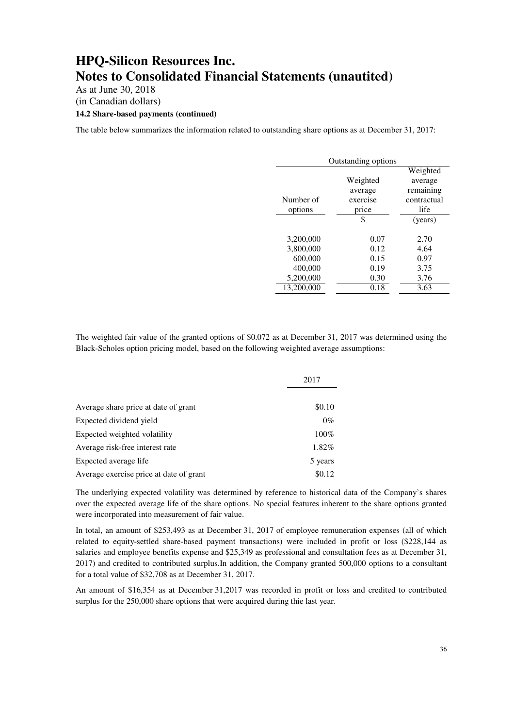As at June 30, 2018 (in Canadian dollars)

### **14.2 Share-based payments (continued)**

The table below summarizes the information related to outstanding share options as at December 31, 2017:

|            | Outstanding options |             |
|------------|---------------------|-------------|
|            |                     | Weighted    |
|            | Weighted            | average     |
|            | average             | remaining   |
| Number of  | exercise            | contractual |
| options    | price               | life        |
|            | \$                  | (years)     |
|            |                     |             |
| 3,200,000  | 0.07                | 2.70        |
| 3,800,000  | 0.12                | 4.64        |
| 600,000    | 0.15                | 0.97        |
| 400,000    | 0.19                | 3.75        |
| 5,200,000  | 0.30                | 3.76        |
| 13.200.000 | 0.18                | 3.63        |

The weighted fair value of the granted options of \$0.072 as at December 31, 2017 was determined using the Black-Scholes option pricing model, based on the following weighted average assumptions:

|                                         | 2017    |  |
|-----------------------------------------|---------|--|
| Average share price at date of grant    | \$0.10  |  |
| Expected dividend yield                 | $0\%$   |  |
| Expected weighted volatility            | $100\%$ |  |
| Average risk-free interest rate         | 1.82%   |  |
| Expected average life                   | 5 years |  |
| Average exercise price at date of grant | \$0.12  |  |

The underlying expected volatility was determined by reference to historical data of the Company's shares over the expected average life of the share options. No special features inherent to the share options granted were incorporated into measurement of fair value.

In total, an amount of \$253,493 as at December 31, 2017 of employee remuneration expenses (all of which related to equity-settled share-based payment transactions) were included in profit or loss (\$228,144 as salaries and employee benefits expense and \$25,349 as professional and consultation fees as at December 31, 2017) and credited to contributed surplus.In addition, the Company granted 500,000 options to a consultant for a total value of \$32,708 as at December 31, 2017.

An amount of \$16,354 as at December 31,2017 was recorded in profit or loss and credited to contributed surplus for the 250,000 share options that were acquired during thie last year.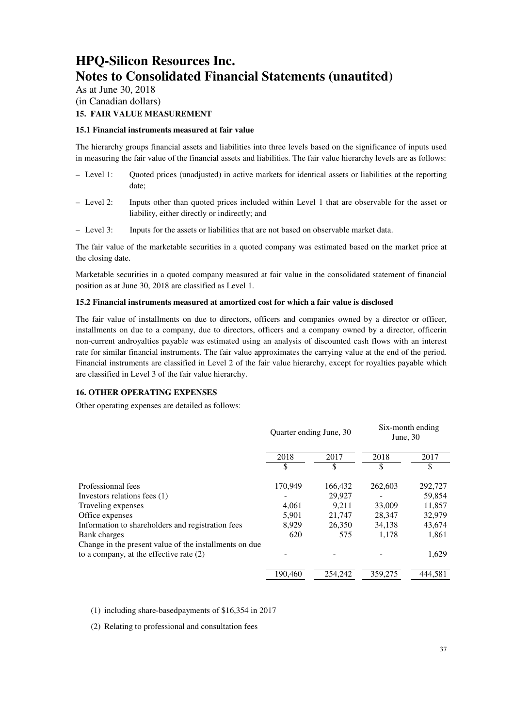As at June 30, 2018 (in Canadian dollars)

### **15. FAIR VALUE MEASUREMENT**

#### **15.1 Financial instruments measured at fair value**

The hierarchy groups financial assets and liabilities into three levels based on the significance of inputs used in measuring the fair value of the financial assets and liabilities. The fair value hierarchy levels are as follows:

- Level 1: Quoted prices (unadjusted) in active markets for identical assets or liabilities at the reporting date;
- Level 2: Inputs other than quoted prices included within Level 1 that are observable for the asset or liability, either directly or indirectly; and
- Level 3: Inputs for the assets or liabilities that are not based on observable market data.

The fair value of the marketable securities in a quoted company was estimated based on the market price at the closing date.

Marketable securities in a quoted company measured at fair value in the consolidated statement of financial position as at June 30, 2018 are classified as Level 1.

#### **15.2 Financial instruments measured at amortized cost for which a fair value is disclosed**

The fair value of installments on due to directors, officers and companies owned by a director or officer, installments on due to a company, due to directors, officers and a company owned by a director, officerin non-current androyalties payable was estimated using an analysis of discounted cash flows with an interest rate for similar financial instruments. The fair value approximates the carrying value at the end of the period. Financial instruments are classified in Level 2 of the fair value hierarchy, except for royalties payable which are classified in Level 3 of the fair value hierarchy.

#### **16. OTHER OPERATING EXPENSES**

Other operating expenses are detailed as follows:

|                                                        | Quarter ending June, 30 |         | Six-month ending<br>June, $30$ |         |
|--------------------------------------------------------|-------------------------|---------|--------------------------------|---------|
|                                                        | 2018                    | 2017    | 2018                           | 2017    |
|                                                        | \$                      | \$      | \$                             | \$      |
| Professionnal fees                                     | 170,949                 | 166,432 | 262,603                        | 292,727 |
| Investors relations fees (1)                           |                         | 29,927  |                                | 59,854  |
| Traveling expenses                                     | 4,061                   | 9.211   | 33,009                         | 11,857  |
| Office expenses                                        | 5,901                   | 21,747  | 28,347                         | 32,979  |
| Information to shareholders and registration fees      | 8.929                   | 26,350  | 34.138                         | 43,674  |
| Bank charges                                           | 620                     | 575     | 1.178                          | 1,861   |
| Change in the present value of the installments on due |                         |         |                                |         |
| to a company, at the effective rate $(2)$              |                         |         |                                | 1,629   |
|                                                        | 190,460                 | 254,242 | 359,275                        | 444.581 |

(1) including share-basedpayments of \$16,354 in 2017

(2) Relating to professional and consultation fees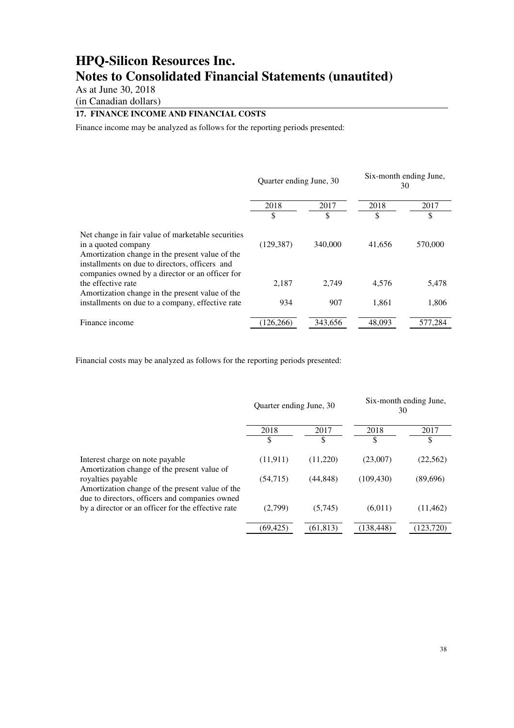As at June 30, 2018 (in Canadian dollars)

### **17. FINANCE INCOME AND FINANCIAL COSTS**

Finance income may be analyzed as follows for the reporting periods presented:

|                                                                                                                                                                                                                                  | Quarter ending June, 30 |         | Six-month ending June,<br>30 |              |  |      |
|----------------------------------------------------------------------------------------------------------------------------------------------------------------------------------------------------------------------------------|-------------------------|---------|------------------------------|--------------|--|------|
|                                                                                                                                                                                                                                  | 2018                    |         |                              | 2017<br>2018 |  | 2017 |
|                                                                                                                                                                                                                                  | \$                      | \$      | \$                           | \$           |  |      |
| Net change in fair value of marketable securities<br>in a quoted company<br>Amortization change in the present value of the<br>installments on due to directors, officers and<br>companies owned by a director or an officer for | (129, 387)              | 340,000 | 41,656                       | 570,000      |  |      |
| the effective rate                                                                                                                                                                                                               | 2,187                   | 2.749   | 4,576                        | 5,478        |  |      |
| Amortization change in the present value of the<br>installments on due to a company, effective rate                                                                                                                              | 934                     | 907     | 1.861                        | 1,806        |  |      |
| Finance income                                                                                                                                                                                                                   | 126,266)                | 343,656 | 48,093                       | 577,284      |  |      |

Financial costs may be analyzed as follows for the reporting periods presented:

|                                                                                                                        | Quarter ending June, 30 |          | Six-month ending June,<br>30 |           |
|------------------------------------------------------------------------------------------------------------------------|-------------------------|----------|------------------------------|-----------|
|                                                                                                                        | 2018                    | 2017     |                              | 2017      |
|                                                                                                                        | S                       | \$.      | \$                           | \$        |
| Interest charge on note payable<br>Amortization change of the present value of                                         | (11, 911)               | (11,220) | (23,007)                     | (22, 562) |
| royalties payable<br>Amortization change of the present value of the<br>due to directors, officers and companies owned | (54,715)                | (44.848) | (109.430)                    | (89,696)  |
| by a director or an officer for the effective rate                                                                     | (2,799)                 | (5,745)  | (6,011)                      | (11, 462) |
|                                                                                                                        | (69, 425)               | (61.813) | 138.448)                     | (123.720) |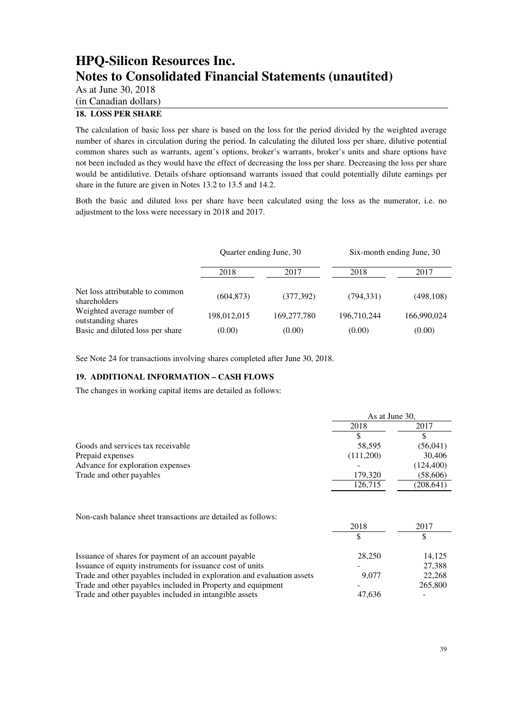As at June 30, 2018

(in Canadian dollars)

## **18. LOSS PER SHARE**

The calculation of basic loss per share is based on the loss for the period divided by the weighted average number of shares in circulation during the period. In calculating the diluted loss per share, dilutive potential common shares such as warrants, agent's options, broker's warrants, broker's units and share options have not been included as they would have the effect of decreasing the loss per share. Decreasing the loss per share would be antidilutive. Details ofshare optionsand warrants issued that could potentially dilute earnings per share in the future are given in Notes 13.2 to 13.5 and 14.2.

Both the basic and diluted loss per share have been calculated using the loss as the numerator, i.e. no adjustment to the loss were necessary in 2018 and 2017.

|                                                  | Quarter ending June, 30 |             | Six-month ending June, 30 |             |
|--------------------------------------------------|-------------------------|-------------|---------------------------|-------------|
|                                                  | 2018                    | 2017        | 2018                      | 2017        |
| Net loss attributable to common<br>shareholders  | (604, 873)              | (377, 392)  | (794.331)                 | (498, 108)  |
| Weighted average number of<br>outstanding shares | 198,012,015             | 169,277,780 | 196,710,244               | 166,990,024 |
| Basic and diluted loss per share                 | (0.00)                  | (0.00)      | (0.00)                    | (0.00)      |

See Note 24 for transactions involving shares completed after June 30, 2018.

### **19. ADDITIONAL INFORMATION – CASH FLOWS**

The changes in working capital items are detailed as follows:

|                                   | As at June 30, |            |  |
|-----------------------------------|----------------|------------|--|
|                                   | 2018           | 2017       |  |
|                                   |                |            |  |
| Goods and services tax receivable | 58.595         | (56,041)   |  |
| Prepaid expenses                  | (111,200)      | 30,406     |  |
| Advance for exploration expenses  |                | (124, 400) |  |
| Trade and other payables          | 179,320        | (58,606)   |  |
|                                   | 126.715        | (208, 641) |  |

Non-cash balance sheet transactions are detailed as follows:

|                                                                        | 2018   | 2017    |  |
|------------------------------------------------------------------------|--------|---------|--|
|                                                                        |        |         |  |
| Issuance of shares for payment of an account payable                   | 28,250 | 14,125  |  |
| Issuance of equity instruments for issuance cost of units              |        | 27.388  |  |
| Trade and other payables included in exploration and evaluation assets | 9.077  | 22,268  |  |
| Trade and other payables included in Property and equipment            |        | 265,800 |  |
| Trade and other payables included in intangible assets                 | 47.636 |         |  |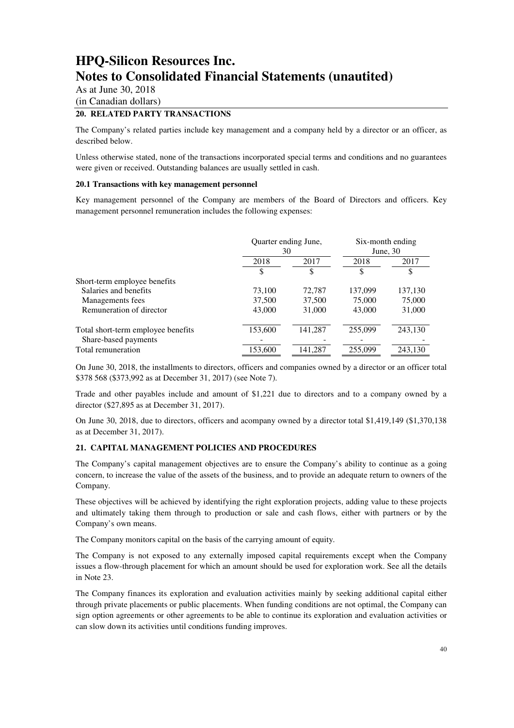As at June 30, 2018

## (in Canadian dollars)

### **20. RELATED PARTY TRANSACTIONS**

The Company's related parties include key management and a company held by a director or an officer, as described below.

Unless otherwise stated, none of the transactions incorporated special terms and conditions and no guarantees were given or received. Outstanding balances are usually settled in cash.

#### **20.1 Transactions with key management personnel**

Key management personnel of the Company are members of the Board of Directors and officers. Key management personnel remuneration includes the following expenses:

|                                    | Quarter ending June,<br>30 |         | Six-month ending<br>June, $30$ |         |
|------------------------------------|----------------------------|---------|--------------------------------|---------|
|                                    | 2018                       | 2017    | 2018                           | 2017    |
|                                    |                            | S       | S                              | S       |
| Short-term employee benefits       |                            |         |                                |         |
| Salaries and benefits              | 73,100                     | 72,787  | 137,099                        | 137,130 |
| Managements fees                   | 37,500                     | 37,500  | 75,000                         | 75,000  |
| Remuneration of director           | 43,000                     | 31,000  | 43,000                         | 31,000  |
| Total short-term employee benefits | 153,600                    | 141,287 | 255,099                        | 243,130 |
| Share-based payments               |                            |         |                                |         |
| Total remuneration                 | 153,600                    | 141,287 | 255,099                        | 243,130 |

On June 30, 2018, the installments to directors, officers and companies owned by a director or an officer total \$378 568 (\$373,992 as at December 31, 2017) (see Note 7).

Trade and other payables include and amount of \$1,221 due to directors and to a company owned by a director (\$27,895 as at December 31, 2017).

On June 30, 2018, due to directors, officers and acompany owned by a director total \$1,419,149 (\$1,370,138 as at December 31, 2017).

### **21. CAPITAL MANAGEMENT POLICIES AND PROCEDURES**

The Company's capital management objectives are to ensure the Company's ability to continue as a going concern, to increase the value of the assets of the business, and to provide an adequate return to owners of the Company.

These objectives will be achieved by identifying the right exploration projects, adding value to these projects and ultimately taking them through to production or sale and cash flows, either with partners or by the Company's own means.

The Company monitors capital on the basis of the carrying amount of equity.

The Company is not exposed to any externally imposed capital requirements except when the Company issues a flow-through placement for which an amount should be used for exploration work. See all the details in Note 23.

The Company finances its exploration and evaluation activities mainly by seeking additional capital either through private placements or public placements. When funding conditions are not optimal, the Company can sign option agreements or other agreements to be able to continue its exploration and evaluation activities or can slow down its activities until conditions funding improves.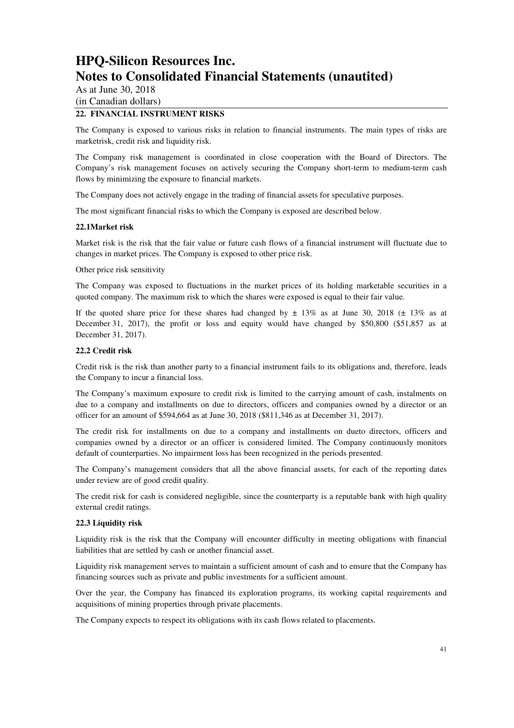As at June 30, 2018 (in Canadian dollars)

### **22. FINANCIAL INSTRUMENT RISKS**

The Company is exposed to various risks in relation to financial instruments. The main types of risks are marketrisk, credit risk and liquidity risk.

The Company risk management is coordinated in close cooperation with the Board of Directors. The Company's risk management focuses on actively securing the Company short-term to medium-term cash flows by minimizing the exposure to financial markets.

The Company does not actively engage in the trading of financial assets for speculative purposes.

The most significant financial risks to which the Company is exposed are described below.

#### **22.1Market risk**

Market risk is the risk that the fair value or future cash flows of a financial instrument will fluctuate due to changes in market prices. The Company is exposed to other price risk.

Other price risk sensitivity

The Company was exposed to fluctuations in the market prices of its holding marketable securities in a quoted company. The maximum risk to which the shares were exposed is equal to their fair value.

If the quoted share price for these shares had changed by  $\pm$  13% as at June 30, 2018 ( $\pm$  13% as at December 31, 2017), the profit or loss and equity would have changed by \$50,800 (\$51,857 as at December 31, 2017).

#### **22.2 Credit risk**

Credit risk is the risk than another party to a financial instrument fails to its obligations and, therefore, leads the Company to incur a financial loss.

The Company's maximum exposure to credit risk is limited to the carrying amount of cash, instalments on due to a company and installments on due to directors, officers and companies owned by a director or an officer for an amount of \$594,664 as at June 30, 2018 (\$811,346 as at December 31, 2017).

The credit risk for installments on due to a company and installments on dueto directors, officers and companies owned by a director or an officer is considered limited. The Company continuously monitors default of counterparties. No impairment loss has been recognized in the periods presented.

The Company's management considers that all the above financial assets, for each of the reporting dates under review are of good credit quality.

The credit risk for cash is considered negligible, since the counterparty is a reputable bank with high quality external credit ratings.

#### **22.3 Liquidity risk**

Liquidity risk is the risk that the Company will encounter difficulty in meeting obligations with financial liabilities that are settled by cash or another financial asset.

Liquidity risk management serves to maintain a sufficient amount of cash and to ensure that the Company has financing sources such as private and public investments for a sufficient amount.

Over the year, the Company has financed its exploration programs, its working capital requirements and acquisitions of mining properties through private placements.

The Company expects to respect its obligations with its cash flows related to placements.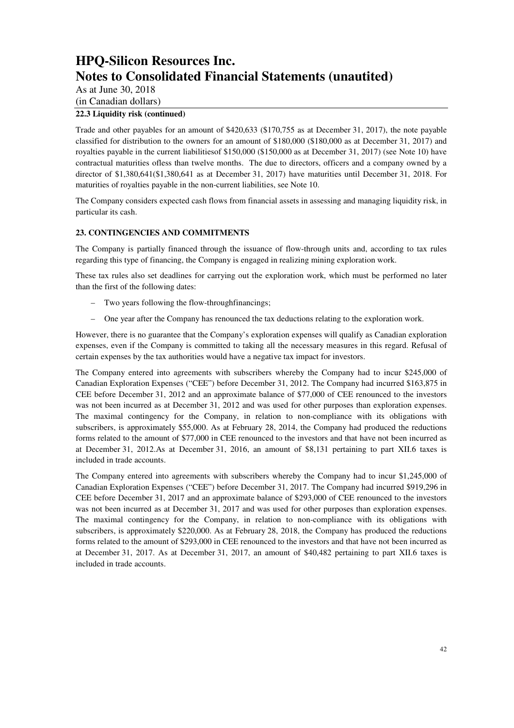As at June 30, 2018 (in Canadian dollars)

### **22.3 Liquidity risk (continued)**

Trade and other payables for an amount of \$420,633 (\$170,755 as at December 31, 2017), the note payable classified for distribution to the owners for an amount of \$180,000 (\$180,000 as at December 31, 2017) and royalties payable in the current liabilities of \$150,000 (\$150,000 as at December 31, 2017) (see Note 10) have contractual maturities ofless than twelve months. The due to directors, officers and a company owned by a director of \$1,380,641(\$1,380,641 as at December 31, 2017) have maturities until December 31, 2018. For maturities of royalties payable in the non-current liabilities, see Note 10.

The Company considers expected cash flows from financial assets in assessing and managing liquidity risk, in particular its cash.

### **23. CONTINGENCIES AND COMMITMENTS**

The Company is partially financed through the issuance of flow-through units and, according to tax rules regarding this type of financing, the Company is engaged in realizing mining exploration work.

These tax rules also set deadlines for carrying out the exploration work, which must be performed no later than the first of the following dates:

- Two years following the flow-throughfinancings;
- One year after the Company has renounced the tax deductions relating to the exploration work.

However, there is no guarantee that the Company's exploration expenses will qualify as Canadian exploration expenses, even if the Company is committed to taking all the necessary measures in this regard. Refusal of certain expenses by the tax authorities would have a negative tax impact for investors.

The Company entered into agreements with subscribers whereby the Company had to incur \$245,000 of Canadian Exploration Expenses ("CEE") before December 31, 2012. The Company had incurred \$163,875 in CEE before December 31, 2012 and an approximate balance of \$77,000 of CEE renounced to the investors was not been incurred as at December 31, 2012 and was used for other purposes than exploration expenses. The maximal contingency for the Company, in relation to non-compliance with its obligations with subscribers, is approximately \$55,000. As at February 28, 2014, the Company had produced the reductions forms related to the amount of \$77,000 in CEE renounced to the investors and that have not been incurred as at December 31, 2012.As at December 31, 2016, an amount of \$8,131 pertaining to part XII.6 taxes is included in trade accounts.

The Company entered into agreements with subscribers whereby the Company had to incur \$1,245,000 of Canadian Exploration Expenses ("CEE") before December 31, 2017. The Company had incurred \$919,296 in CEE before December 31, 2017 and an approximate balance of \$293,000 of CEE renounced to the investors was not been incurred as at December 31, 2017 and was used for other purposes than exploration expenses. The maximal contingency for the Company, in relation to non-compliance with its obligations with subscribers, is approximately \$220,000. As at February 28, 2018, the Company has produced the reductions forms related to the amount of \$293,000 in CEE renounced to the investors and that have not been incurred as at December 31, 2017. As at December 31, 2017, an amount of \$40,482 pertaining to part XII.6 taxes is included in trade accounts.